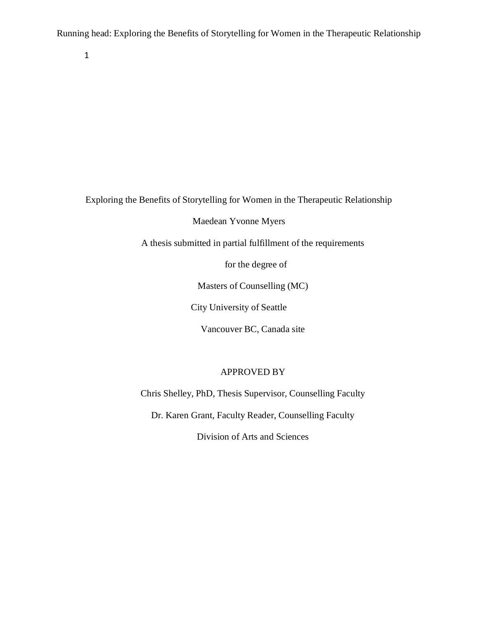Running head: Exploring the Benefits of Storytelling for Women in the Therapeutic Relationship

1

Exploring the Benefits of Storytelling for Women in the Therapeutic Relationship

# Maedean Yvonne Myers

A thesis submitted in partial fulfillment of the requirements

for the degree of

Masters of Counselling (MC)

City University of Seattle

Vancouver BC, Canada site

# APPROVED BY

Chris Shelley, PhD, Thesis Supervisor, Counselling Faculty

Dr. Karen Grant, Faculty Reader, Counselling Faculty

Division of Arts and Sciences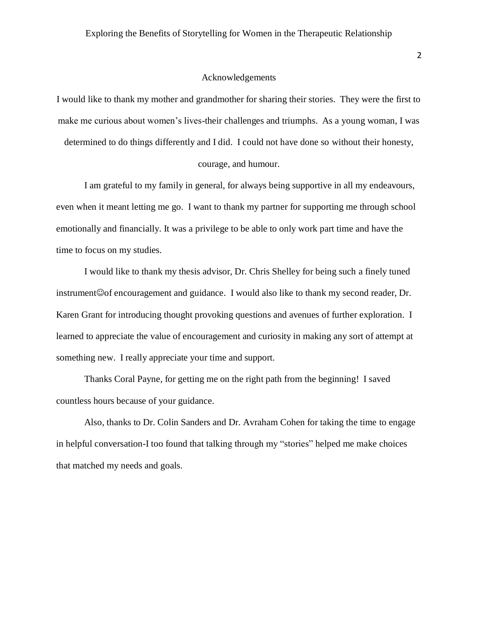#### Acknowledgements

<span id="page-1-0"></span>I would like to thank my mother and grandmother for sharing their stories. They were the first to make me curious about women's lives-their challenges and triumphs. As a young woman, I was determined to do things differently and I did. I could not have done so without their honesty,

## courage, and humour.

I am grateful to my family in general, for always being supportive in all my endeavours, even when it meant letting me go. I want to thank my partner for supporting me through school emotionally and financially. It was a privilege to be able to only work part time and have the time to focus on my studies.

I would like to thank my thesis advisor, Dr. Chris Shelley for being such a finely tuned instrument $\odot$  encouragement and guidance. I would also like to thank my second reader, Dr. Karen Grant for introducing thought provoking questions and avenues of further exploration. I learned to appreciate the value of encouragement and curiosity in making any sort of attempt at something new. I really appreciate your time and support.

Thanks Coral Payne, for getting me on the right path from the beginning! I saved countless hours because of your guidance.

Also, thanks to Dr. Colin Sanders and Dr. Avraham Cohen for taking the time to engage in helpful conversation-I too found that talking through my "stories" helped me make choices that matched my needs and goals.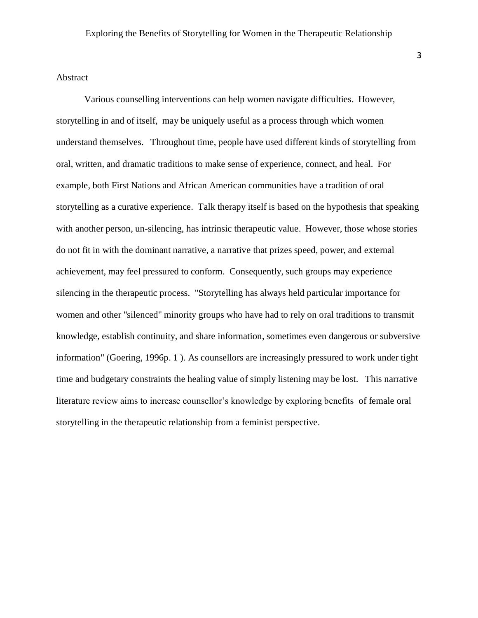# <span id="page-2-0"></span>Abstract

Various counselling interventions can help women navigate difficulties. However, storytelling in and of itself, may be uniquely useful as a process through which women understand themselves. Throughout time, people have used different kinds of storytelling from oral, written, and dramatic traditions to make sense of experience, connect, and heal. For example, both First Nations and African American communities have a tradition of oral storytelling as a curative experience. Talk therapy itself is based on the hypothesis that speaking with another person, un-silencing, has intrinsic therapeutic value. However, those whose stories do not fit in with the dominant narrative, a narrative that prizes speed, power, and external achievement, may feel pressured to conform. Consequently, such groups may experience silencing in the therapeutic process. "Storytelling has always held particular importance for women and other "silenced" minority groups who have had to rely on oral traditions to transmit knowledge, establish continuity, and share information, sometimes even dangerous or subversive information" (Goering, 1996p. 1 ). As counsellors are increasingly pressured to work under tight time and budgetary constraints the healing value of simply listening may be lost. This narrative literature review aims to increase counsellor's knowledge by exploring benefits of female oral storytelling in the therapeutic relationship from a feminist perspective.

3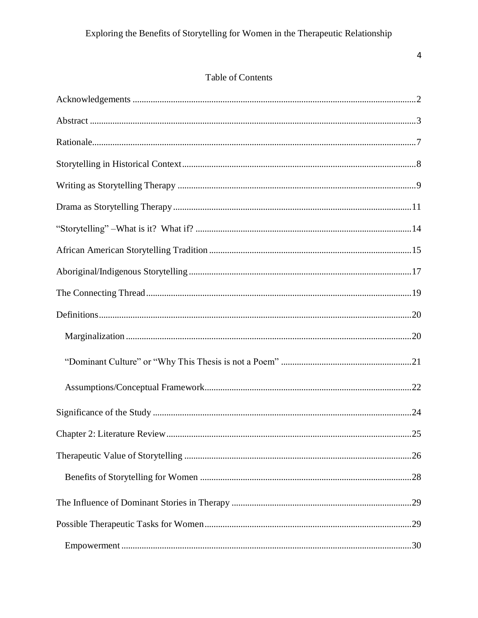# $\overline{4}$

# Table of Contents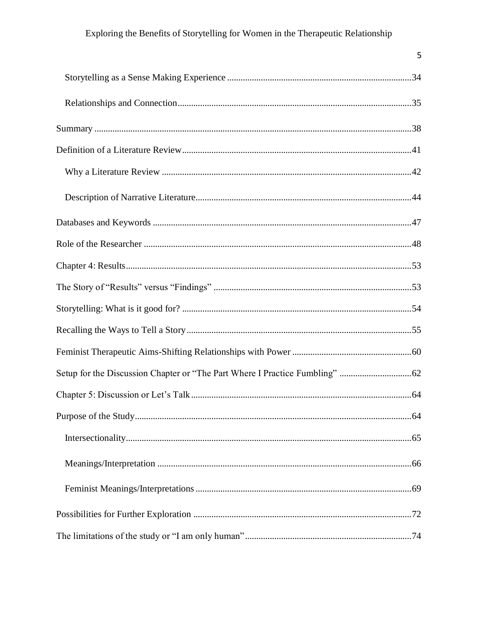# Exploring the Benefits of Storytelling for Women in the Therapeutic Relationship

| 5 |
|---|
|   |
|   |
|   |
|   |
|   |
|   |
|   |
|   |
|   |
|   |
|   |
|   |
|   |
|   |
|   |
|   |
|   |
|   |
|   |
|   |
|   |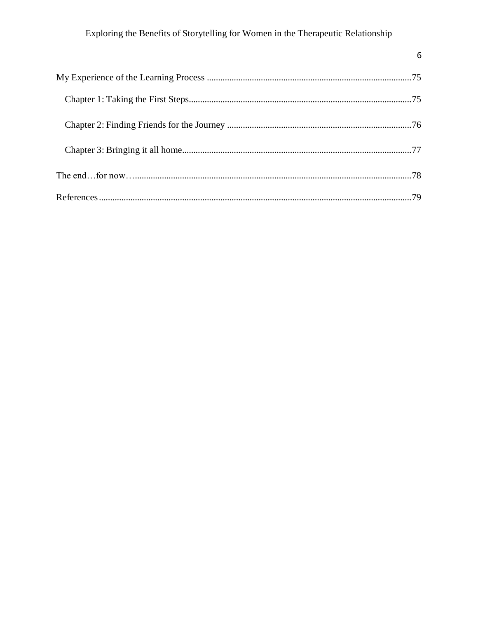| 6 |
|---|
|   |
|   |
|   |
|   |
|   |
|   |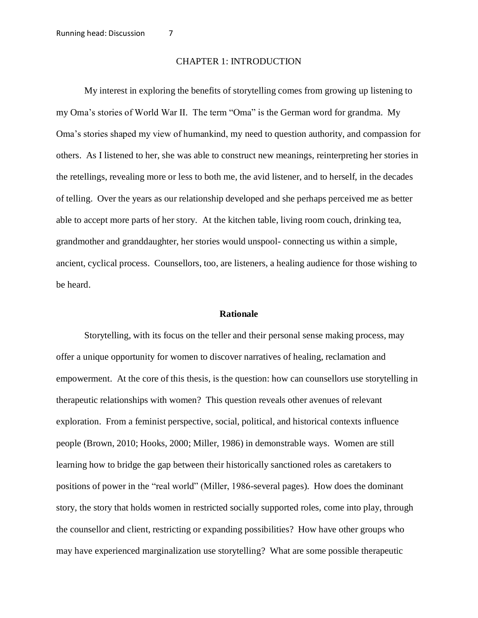## CHAPTER 1: INTRODUCTION

My interest in exploring the benefits of storytelling comes from growing up listening to my Oma's stories of World War II. The term "Oma" is the German word for grandma. My Oma's stories shaped my view of humankind, my need to question authority, and compassion for others. As I listened to her, she was able to construct new meanings, reinterpreting her stories in the retellings, revealing more or less to both me, the avid listener, and to herself, in the decades of telling. Over the years as our relationship developed and she perhaps perceived me as better able to accept more parts of her story. At the kitchen table, living room couch, drinking tea, grandmother and granddaughter, her stories would unspool- connecting us within a simple, ancient, cyclical process. Counsellors, too, are listeners, a healing audience for those wishing to be heard.

#### **Rationale**

<span id="page-6-0"></span>Storytelling, with its focus on the teller and their personal sense making process, may offer a unique opportunity for women to discover narratives of healing, reclamation and empowerment. At the core of this thesis, is the question: how can counsellors use storytelling in therapeutic relationships with women? This question reveals other avenues of relevant exploration. From a feminist perspective, social, political, and historical contexts influence people (Brown, 2010; Hooks, 2000; Miller, 1986) in demonstrable ways. Women are still learning how to bridge the gap between their historically sanctioned roles as caretakers to positions of power in the "real world" (Miller, 1986-several pages). How does the dominant story, the story that holds women in restricted socially supported roles, come into play, through the counsellor and client, restricting or expanding possibilities? How have other groups who may have experienced marginalization use storytelling? What are some possible therapeutic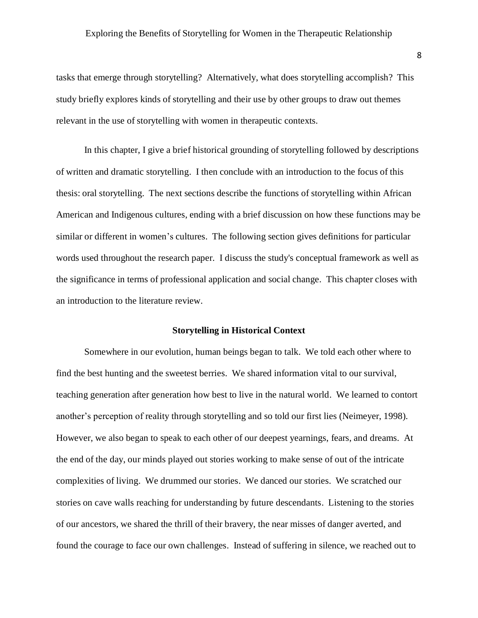#### Exploring the Benefits of Storytelling for Women in the Therapeutic Relationship

tasks that emerge through storytelling? Alternatively, what does storytelling accomplish? This study briefly explores kinds of storytelling and their use by other groups to draw out themes relevant in the use of storytelling with women in therapeutic contexts.

In this chapter, I give a brief historical grounding of storytelling followed by descriptions of written and dramatic storytelling. I then conclude with an introduction to the focus of this thesis: oral storytelling. The next sections describe the functions of storytelling within African American and Indigenous cultures, ending with a brief discussion on how these functions may be similar or different in women's cultures. The following section gives definitions for particular words used throughout the research paper. I discuss the study's conceptual framework as well as the significance in terms of professional application and social change. This chapter closes with an introduction to the literature review.

#### **Storytelling in Historical Context**

<span id="page-7-0"></span>Somewhere in our evolution, human beings began to talk. We told each other where to find the best hunting and the sweetest berries. We shared information vital to our survival, teaching generation after generation how best to live in the natural world. We learned to contort another's perception of reality through storytelling and so told our first lies (Neimeyer, 1998). However, we also began to speak to each other of our deepest yearnings, fears, and dreams. At the end of the day, our minds played out stories working to make sense of out of the intricate complexities of living. We drummed our stories. We danced our stories. We scratched our stories on cave walls reaching for understanding by future descendants. Listening to the stories of our ancestors, we shared the thrill of their bravery, the near misses of danger averted, and found the courage to face our own challenges. Instead of suffering in silence, we reached out to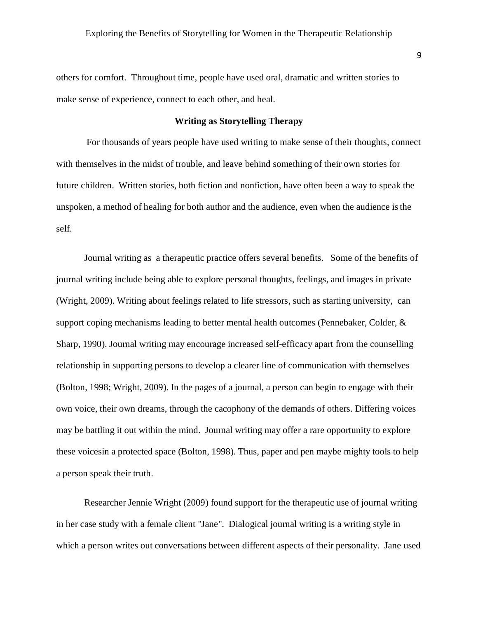others for comfort. Throughout time, people have used oral, dramatic and written stories to make sense of experience, connect to each other, and heal.

# **Writing as Storytelling Therapy**

<span id="page-8-0"></span>For thousands of years people have used writing to make sense of their thoughts, connect with themselves in the midst of trouble, and leave behind something of their own stories for future children. Written stories, both fiction and nonfiction, have often been a way to speak the unspoken, a method of healing for both author and the audience, even when the audience isthe self.

Journal writing as a therapeutic practice offers several benefits. Some of the benefits of journal writing include being able to explore personal thoughts, feelings, and images in private (Wright, 2009). Writing about feelings related to life stressors, such as starting university, can support coping mechanisms leading to better mental health outcomes (Pennebaker, Colder, & Sharp, 1990). Journal writing may encourage increased self-efficacy apart from the counselling relationship in supporting persons to develop a clearer line of communication with themselves (Bolton, 1998; Wright, 2009). In the pages of a journal, a person can begin to engage with their own voice, their own dreams, through the cacophony of the demands of others. Differing voices may be battling it out within the mind. Journal writing may offer a rare opportunity to explore these voicesin a protected space (Bolton, 1998). Thus, paper and pen maybe mighty tools to help a person speak their truth.

Researcher Jennie Wright (2009) found support for the therapeutic use of journal writing in her case study with a female client "Jane". Dialogical journal writing is a writing style in which a person writes out conversations between different aspects of their personality. Jane used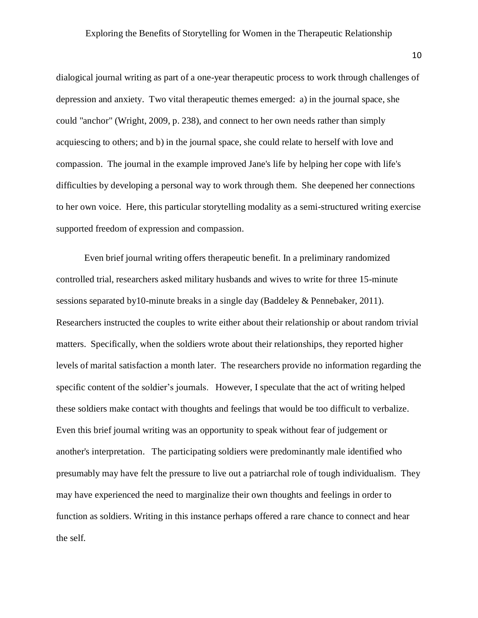#### Exploring the Benefits of Storytelling for Women in the Therapeutic Relationship

dialogical journal writing as part of a one-year therapeutic process to work through challenges of depression and anxiety. Two vital therapeutic themes emerged: a) in the journal space, she could "anchor" (Wright, 2009, p. 238), and connect to her own needs rather than simply acquiescing to others; and b) in the journal space, she could relate to herself with love and compassion. The journal in the example improved Jane's life by helping her cope with life's difficulties by developing a personal way to work through them. She deepened her connections to her own voice. Here, this particular storytelling modality as a semi-structured writing exercise supported freedom of expression and compassion.

Even brief journal writing offers therapeutic benefit. In a preliminary randomized controlled trial, researchers asked military husbands and wives to write for three 15-minute sessions separated by10-minute breaks in a single day (Baddeley & Pennebaker, 2011). Researchers instructed the couples to write either about their relationship or about random trivial matters. Specifically, when the soldiers wrote about their relationships, they reported higher levels of marital satisfaction a month later. The researchers provide no information regarding the specific content of the soldier's journals. However, I speculate that the act of writing helped these soldiers make contact with thoughts and feelings that would be too difficult to verbalize. Even this brief journal writing was an opportunity to speak without fear of judgement or another's interpretation. The participating soldiers were predominantly male identified who presumably may have felt the pressure to live out a patriarchal role of tough individualism. They may have experienced the need to marginalize their own thoughts and feelings in order to function as soldiers. Writing in this instance perhaps offered a rare chance to connect and hear the self.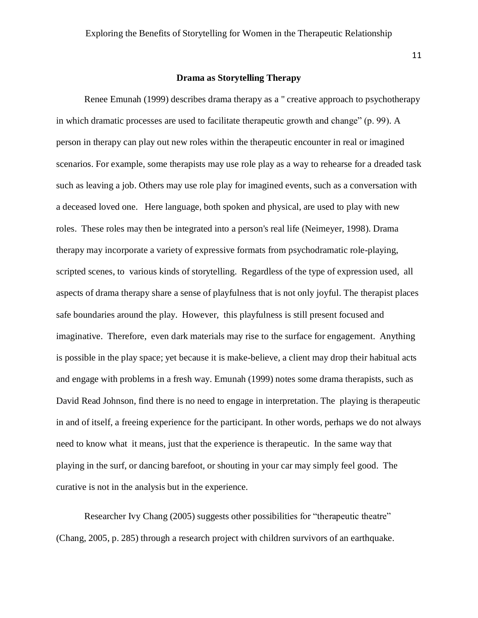#### **Drama as Storytelling Therapy**

<span id="page-10-0"></span>Renee Emunah (1999) describes drama therapy as a " creative approach to psychotherapy in which dramatic processes are used to facilitate therapeutic growth and change" (p. 99). A person in therapy can play out new roles within the therapeutic encounter in real or imagined scenarios. For example, some therapists may use role play as a way to rehearse for a dreaded task such as leaving a job. Others may use role play for imagined events, such as a conversation with a deceased loved one. Here language, both spoken and physical, are used to play with new roles. These roles may then be integrated into a person's real life (Neimeyer, 1998). Drama therapy may incorporate a variety of expressive formats from psychodramatic role-playing, scripted scenes, to various kinds of storytelling. Regardless of the type of expression used, all aspects of drama therapy share a sense of playfulness that is not only joyful. The therapist places safe boundaries around the play. However, this playfulness is still present focused and imaginative. Therefore, even dark materials may rise to the surface for engagement. Anything is possible in the play space; yet because it is make-believe, a client may drop their habitual acts and engage with problems in a fresh way. Emunah (1999) notes some drama therapists, such as David Read Johnson, find there is no need to engage in interpretation. The playing is therapeutic in and of itself, a freeing experience for the participant. In other words, perhaps we do not always need to know what it means, just that the experience is therapeutic. In the same way that playing in the surf, or dancing barefoot, or shouting in your car may simply feel good. The curative is not in the analysis but in the experience.

Researcher Ivy Chang (2005) suggests other possibilities for "therapeutic theatre" (Chang, 2005, p. 285) through a research project with children survivors of an earthquake.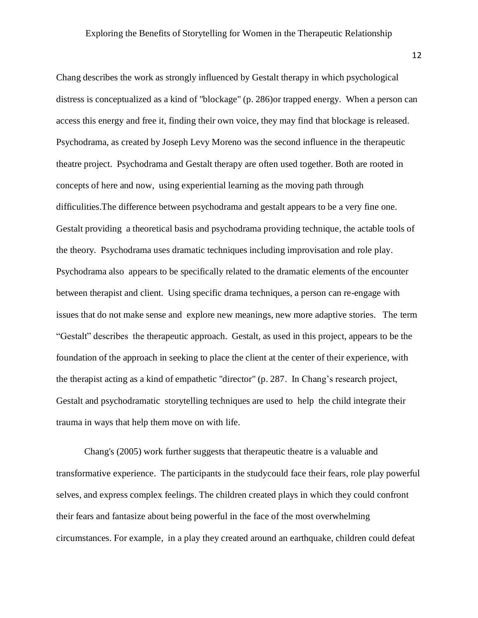Chang describes the work as strongly influenced by Gestalt therapy in which psychological distress is conceptualized as a kind of "blockage" (p. 286)or trapped energy. When a person can access this energy and free it, finding their own voice, they may find that blockage is released. Psychodrama, as created by Joseph Levy Moreno was the second influence in the therapeutic theatre project. Psychodrama and Gestalt therapy are often used together. Both are rooted in concepts of here and now, using experiential learning as the moving path through difficulities.The difference between psychodrama and gestalt appears to be a very fine one. Gestalt providing a theoretical basis and psychodrama providing technique, the actable tools of the theory. Psychodrama uses dramatic techniques including improvisation and role play. Psychodrama also appears to be specifically related to the dramatic elements of the encounter between therapist and client. Using specific drama techniques, a person can re-engage with issues that do not make sense and explore new meanings, new more adaptive stories. The term "Gestalt" describes the therapeutic approach. Gestalt, as used in this project, appears to be the foundation of the approach in seeking to place the client at the center of their experience, with the therapist acting as a kind of empathetic "director" (p. 287. In Chang's research project, Gestalt and psychodramatic storytelling techniques are used to help the child integrate their trauma in ways that help them move on with life.

Chang's (2005) work further suggests that therapeutic theatre is a valuable and transformative experience. The participants in the studycould face their fears, role play powerful selves, and express complex feelings. The children created plays in which they could confront their fears and fantasize about being powerful in the face of the most overwhelming circumstances. For example, in a play they created around an earthquake, children could defeat

12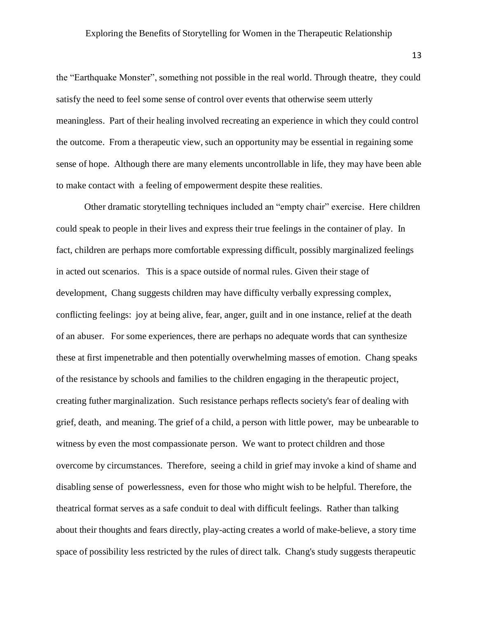#### Exploring the Benefits of Storytelling for Women in the Therapeutic Relationship

the "Earthquake Monster", something not possible in the real world. Through theatre, they could satisfy the need to feel some sense of control over events that otherwise seem utterly meaningless. Part of their healing involved recreating an experience in which they could control the outcome. From a therapeutic view, such an opportunity may be essential in regaining some sense of hope. Although there are many elements uncontrollable in life, they may have been able to make contact with a feeling of empowerment despite these realities.

Other dramatic storytelling techniques included an "empty chair" exercise. Here children could speak to people in their lives and express their true feelings in the container of play. In fact, children are perhaps more comfortable expressing difficult, possibly marginalized feelings in acted out scenarios. This is a space outside of normal rules. Given their stage of development, Chang suggests children may have difficulty verbally expressing complex, conflicting feelings: joy at being alive, fear, anger, guilt and in one instance, relief at the death of an abuser. For some experiences, there are perhaps no adequate words that can synthesize these at first impenetrable and then potentially overwhelming masses of emotion. Chang speaks of the resistance by schools and families to the children engaging in the therapeutic project, creating futher marginalization. Such resistance perhaps reflects society's fear of dealing with grief, death, and meaning. The grief of a child, a person with little power, may be unbearable to witness by even the most compassionate person. We want to protect children and those overcome by circumstances. Therefore, seeing a child in grief may invoke a kind of shame and disabling sense of powerlessness, even for those who might wish to be helpful. Therefore, the theatrical format serves as a safe conduit to deal with difficult feelings. Rather than talking about their thoughts and fears directly, play-acting creates a world of make-believe, a story time space of possibility less restricted by the rules of direct talk. Chang's study suggests therapeutic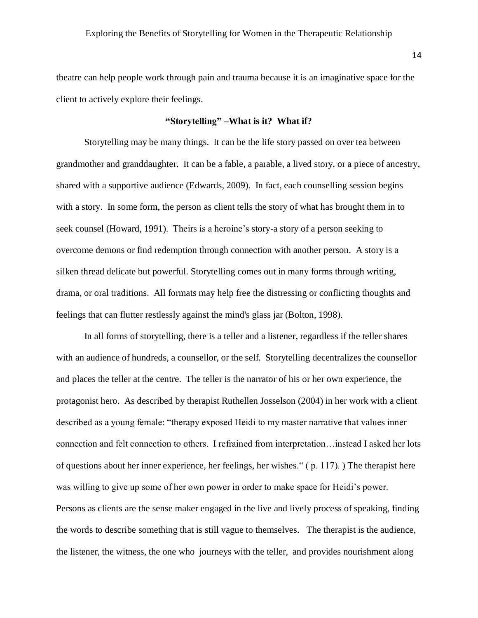theatre can help people work through pain and trauma because it is an imaginative space for the client to actively explore their feelings.

# **"Storytelling" –What is it? What if?**

<span id="page-13-0"></span>Storytelling may be many things. It can be the life story passed on over tea between grandmother and granddaughter. It can be a fable, a parable, a lived story, or a piece of ancestry, shared with a supportive audience (Edwards, 2009). In fact, each counselling session begins with a story. In some form, the person as client tells the story of what has brought them in to seek counsel (Howard, 1991). Theirs is a heroine's story-a story of a person seeking to overcome demons or find redemption through connection with another person. A story is a silken thread delicate but powerful. Storytelling comes out in many forms through writing, drama, or oral traditions. All formats may help free the distressing or conflicting thoughts and feelings that can flutter restlessly against the mind's glass jar (Bolton, 1998).

In all forms of storytelling, there is a teller and a listener, regardless if the teller shares with an audience of hundreds, a counsellor, or the self. Storytelling decentralizes the counsellor and places the teller at the centre. The teller is the narrator of his or her own experience, the protagonist hero. As described by therapist Ruthellen Josselson (2004) in her work with a client described as a young female: "therapy exposed Heidi to my master narrative that values inner connection and felt connection to others. I refrained from interpretation…instead I asked her lots of questions about her inner experience, her feelings, her wishes." ( p. 117). ) The therapist here was willing to give up some of her own power in order to make space for Heidi's power. Persons as clients are the sense maker engaged in the live and lively process of speaking, finding the words to describe something that is still vague to themselves. The therapist is the audience, the listener, the witness, the one who journeys with the teller, and provides nourishment along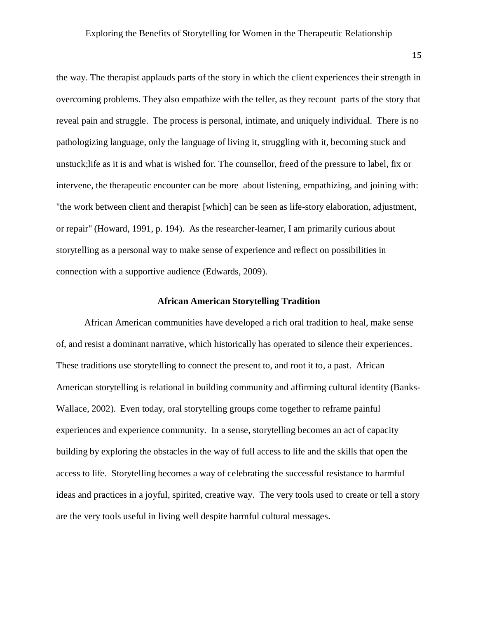#### Exploring the Benefits of Storytelling for Women in the Therapeutic Relationship

the way. The therapist applauds parts of the story in which the client experiences their strength in overcoming problems. They also empathize with the teller, as they recount parts of the story that reveal pain and struggle. The process is personal, intimate, and uniquely individual. There is no pathologizing language, only the language of living it, struggling with it, becoming stuck and unstuck;life as it is and what is wished for. The counsellor, freed of the pressure to label, fix or intervene, the therapeutic encounter can be more about listening, empathizing, and joining with: "the work between client and therapist [which] can be seen as life-story elaboration, adjustment, or repair" (Howard, 1991, p. 194). As the researcher-learner, I am primarily curious about storytelling as a personal way to make sense of experience and reflect on possibilities in connection with a supportive audience (Edwards, 2009).

## **African American Storytelling Tradition**

<span id="page-14-0"></span>African American communities have developed a rich oral tradition to heal, make sense of, and resist a dominant narrative, which historically has operated to silence their experiences. These traditions use storytelling to connect the present to, and root it to, a past. African American storytelling is relational in building community and affirming cultural identity (Banks-Wallace, 2002). Even today, oral storytelling groups come together to reframe painful experiences and experience community. In a sense, storytelling becomes an act of capacity building by exploring the obstacles in the way of full access to life and the skills that open the access to life. Storytelling becomes a way of celebrating the successful resistance to harmful ideas and practices in a joyful, spirited, creative way. The very tools used to create or tell a story are the very tools useful in living well despite harmful cultural messages.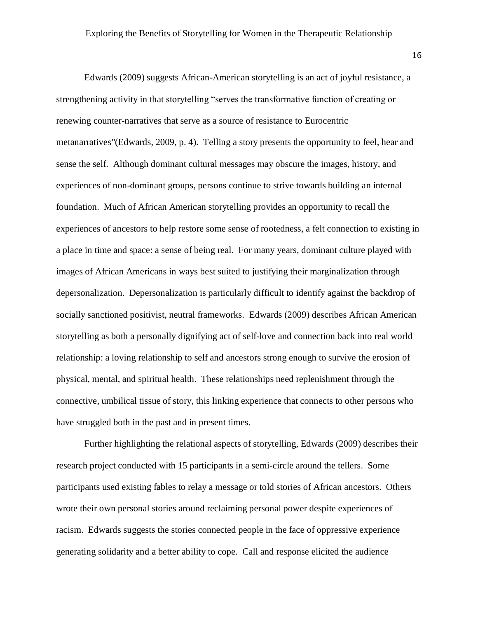Edwards (2009) suggests African-American storytelling is an act of joyful resistance, a strengthening activity in that storytelling "serves the transformative function of creating or renewing counter-narratives that serve as a source of resistance to Eurocentric metanarratives"(Edwards, 2009, p. 4). Telling a story presents the opportunity to feel, hear and sense the self. Although dominant cultural messages may obscure the images, history, and experiences of non-dominant groups, persons continue to strive towards building an internal foundation. Much of African American storytelling provides an opportunity to recall the experiences of ancestors to help restore some sense of rootedness, a felt connection to existing in a place in time and space: a sense of being real. For many years, dominant culture played with images of African Americans in ways best suited to justifying their marginalization through depersonalization. Depersonalization is particularly difficult to identify against the backdrop of socially sanctioned positivist, neutral frameworks. Edwards (2009) describes African American storytelling as both a personally dignifying act of self-love and connection back into real world relationship: a loving relationship to self and ancestors strong enough to survive the erosion of physical, mental, and spiritual health. These relationships need replenishment through the connective, umbilical tissue of story, this linking experience that connects to other persons who have struggled both in the past and in present times.

Further highlighting the relational aspects of storytelling, Edwards (2009) describes their research project conducted with 15 participants in a semi-circle around the tellers. Some participants used existing fables to relay a message or told stories of African ancestors. Others wrote their own personal stories around reclaiming personal power despite experiences of racism. Edwards suggests the stories connected people in the face of oppressive experience generating solidarity and a better ability to cope. Call and response elicited the audience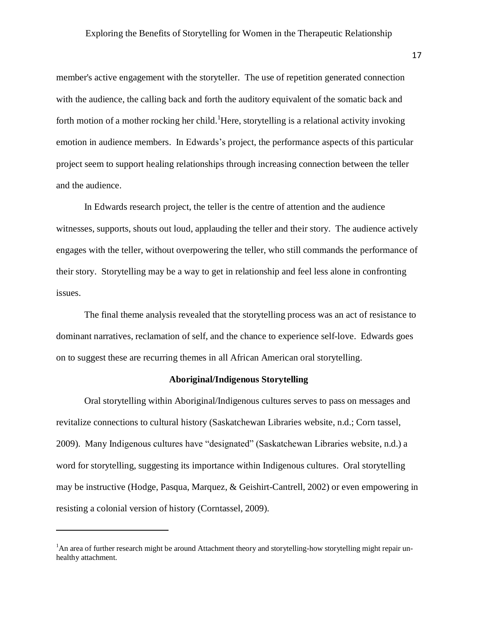member's active engagement with the storyteller. The use of repetition generated connection with the audience, the calling back and forth the auditory equivalent of the somatic back and forth motion of a mother rocking her child.<sup>1</sup>Here, storytelling is a relational activity invoking emotion in audience members. In Edwards's project, the performance aspects of this particular project seem to support healing relationships through increasing connection between the teller and the audience.

In Edwards research project, the teller is the centre of attention and the audience witnesses, supports, shouts out loud, applauding the teller and their story. The audience actively engages with the teller, without overpowering the teller, who still commands the performance of their story. Storytelling may be a way to get in relationship and feel less alone in confronting issues.

The final theme analysis revealed that the storytelling process was an act of resistance to dominant narratives, reclamation of self, and the chance to experience self-love. Edwards goes on to suggest these are recurring themes in all African American oral storytelling.

## **Aboriginal/Indigenous Storytelling**

<span id="page-16-0"></span>Oral storytelling within Aboriginal/Indigenous cultures serves to pass on messages and revitalize connections to cultural history (Saskatchewan Libraries website, n.d.; Corn tassel, 2009). Many Indigenous cultures have "designated" (Saskatchewan Libraries website, n.d.) a word for storytelling, suggesting its importance within Indigenous cultures. Oral storytelling may be instructive (Hodge, Pasqua, Marquez, & Geishirt-Cantrell, 2002) or even empowering in resisting a colonial version of history (Corntassel, 2009).

 $\overline{a}$ 

 $1$ An area of further research might be around Attachment theory and storytelling-how storytelling might repair unhealthy attachment.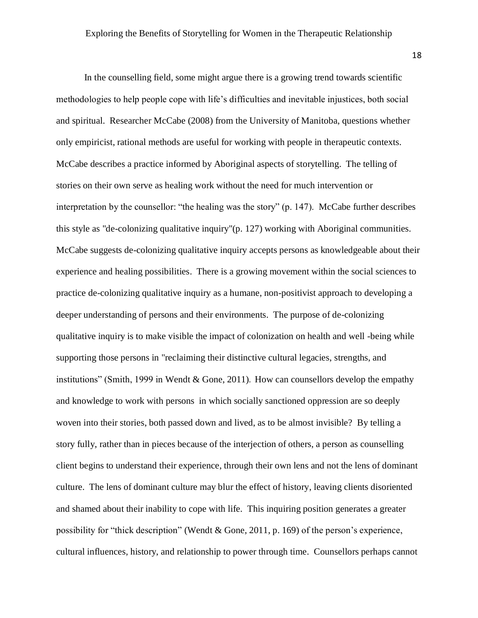In the counselling field, some might argue there is a growing trend towards scientific methodologies to help people cope with life's difficulties and inevitable injustices, both social and spiritual. Researcher McCabe (2008) from the University of Manitoba, questions whether only empiricist, rational methods are useful for working with people in therapeutic contexts. McCabe describes a practice informed by Aboriginal aspects of storytelling. The telling of stories on their own serve as healing work without the need for much intervention or interpretation by the counsellor: "the healing was the story" (p. 147). McCabe further describes this style as "de-colonizing qualitative inquiry"(p. 127) working with Aboriginal communities. McCabe suggests de-colonizing qualitative inquiry accepts persons as knowledgeable about their experience and healing possibilities. There is a growing movement within the social sciences to practice de-colonizing qualitative inquiry as a humane, non-positivist approach to developing a deeper understanding of persons and their environments. The purpose of de-colonizing qualitative inquiry is to make visible the impact of colonization on health and well -being while supporting those persons in "reclaiming their distinctive cultural legacies, strengths, and institutions" (Smith, 1999 in Wendt & Gone, 2011). How can counsellors develop the empathy and knowledge to work with persons in which socially sanctioned oppression are so deeply woven into their stories, both passed down and lived, as to be almost invisible? By telling a story fully, rather than in pieces because of the interjection of others, a person as counselling client begins to understand their experience, through their own lens and not the lens of dominant culture. The lens of dominant culture may blur the effect of history, leaving clients disoriented and shamed about their inability to cope with life. This inquiring position generates a greater possibility for "thick description" (Wendt & Gone, 2011, p. 169) of the person's experience, cultural influences, history, and relationship to power through time. Counsellors perhaps cannot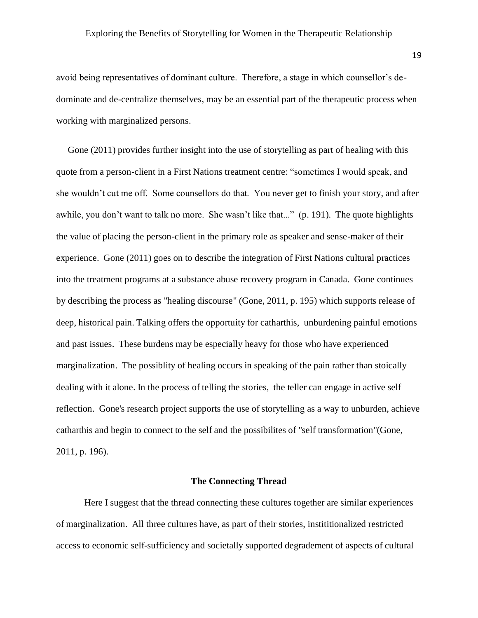avoid being representatives of dominant culture. Therefore, a stage in which counsellor's dedominate and de-centralize themselves, may be an essential part of the therapeutic process when working with marginalized persons.

 Gone (2011) provides further insight into the use of storytelling as part of healing with this quote from a person-client in a First Nations treatment centre: "sometimes I would speak, and she wouldn't cut me off. Some counsellors do that. You never get to finish your story, and after awhile, you don't want to talk no more. She wasn't like that..." (p. 191). The quote highlights the value of placing the person-client in the primary role as speaker and sense-maker of their experience. Gone (2011) goes on to describe the integration of First Nations cultural practices into the treatment programs at a substance abuse recovery program in Canada. Gone continues by describing the process as "healing discourse" (Gone, 2011, p. 195) which supports release of deep, historical pain. Talking offers the opportuity for catharthis, unburdening painful emotions and past issues. These burdens may be especially heavy for those who have experienced marginalization. The possiblity of healing occurs in speaking of the pain rather than stoically dealing with it alone. In the process of telling the stories, the teller can engage in active self reflection. Gone's research project supports the use of storytelling as a way to unburden, achieve catharthis and begin to connect to the self and the possibilites of "self transformation"(Gone, 2011, p. 196).

# **The Connecting Thread**

<span id="page-18-0"></span>Here I suggest that the thread connecting these cultures together are similar experiences of marginalization. All three cultures have, as part of their stories, instititionalized restricted access to economic self-sufficiency and societally supported degradement of aspects of cultural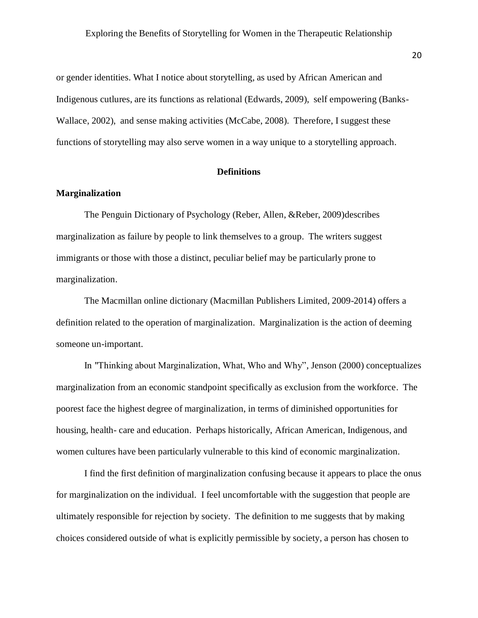or gender identities. What I notice about storytelling, as used by African American and Indigenous cutlures, are its functions as relational (Edwards, 2009), self empowering (Banks-Wallace, 2002), and sense making activities (McCabe, 2008). Therefore, I suggest these functions of storytelling may also serve women in a way unique to a storytelling approach.

## **Definitions**

# <span id="page-19-1"></span><span id="page-19-0"></span>**Marginalization**

The Penguin Dictionary of Psychology (Reber, Allen, &Reber, 2009)describes marginalization as failure by people to link themselves to a group. The writers suggest immigrants or those with those a distinct, peculiar belief may be particularly prone to marginalization.

The Macmillan online dictionary (Macmillan Publishers Limited, 2009-2014) offers a definition related to the operation of marginalization. Marginalization is the action of deeming someone un-important.

In "Thinking about Marginalization, What, Who and Why", Jenson (2000) conceptualizes marginalization from an economic standpoint specifically as exclusion from the workforce. The poorest face the highest degree of marginalization, in terms of diminished opportunities for housing, health- care and education. Perhaps historically, African American, Indigenous, and women cultures have been particularly vulnerable to this kind of economic marginalization.

I find the first definition of marginalization confusing because it appears to place the onus for marginalization on the individual. I feel uncomfortable with the suggestion that people are ultimately responsible for rejection by society. The definition to me suggests that by making choices considered outside of what is explicitly permissible by society, a person has chosen to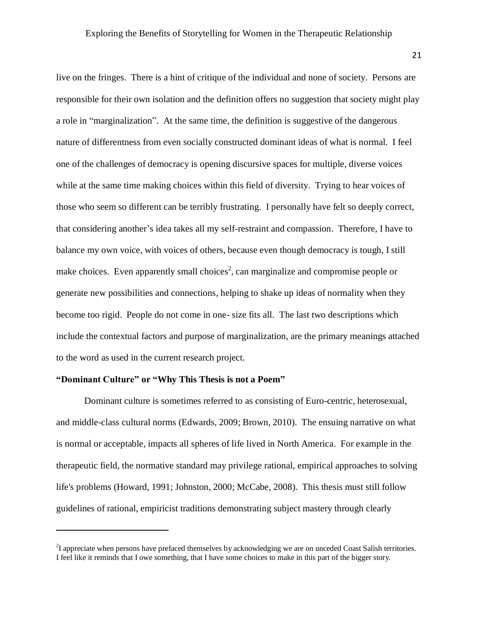live on the fringes. There is a hint of critique of the individual and none of society. Persons are responsible for their own isolation and the definition offers no suggestion that society might play a role in "marginalization". At the same time, the definition is suggestive of the dangerous nature of differentness from even socially constructed dominant ideas of what is normal. I feel one of the challenges of democracy is opening discursive spaces for multiple, diverse voices while at the same time making choices within this field of diversity. Trying to hear voices of those who seem so different can be terribly frustrating. I personally have felt so deeply correct, that considering another's idea takes all my self-restraint and compassion. Therefore, I have to balance my own voice, with voices of others, because even though democracy is tough, I still make choices. Even apparently small choices<sup>2</sup>, can marginalize and compromise people or generate new possibilities and connections, helping to shake up ideas of normality when they become too rigid. People do not come in one- size fits all. The last two descriptions which include the contextual factors and purpose of marginalization, are the primary meanings attached to the word as used in the current research project.

# <span id="page-20-0"></span>**"Dominant Culture" or "Why This Thesis is not a Poem"**

 $\overline{a}$ 

Dominant culture is sometimes referred to as consisting of Euro-centric, heterosexual, and middle-class cultural norms (Edwards, 2009; Brown, 2010). The ensuing narrative on what is normal or acceptable, impacts all spheres of life lived in North America. For example in the therapeutic field, the normative standard may privilege rational, empirical approaches to solving life's problems (Howard, 1991; Johnston, 2000; McCabe, 2008). This thesis must still follow guidelines of rational, empiricist traditions demonstrating subject mastery through clearly

 $2<sup>2</sup>$ I appreciate when persons have prefaced themselves by acknowledging we are on unceded Coast Salish territories. I feel like it reminds that I owe something, that I have some choices to make in this part of the bigger story.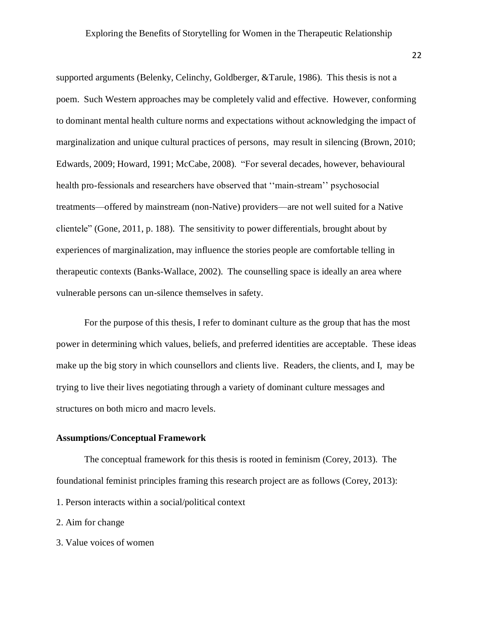supported arguments (Belenky, Celinchy, Goldberger, &Tarule, 1986). This thesis is not a poem. Such Western approaches may be completely valid and effective. However, conforming to dominant mental health culture norms and expectations without acknowledging the impact of marginalization and unique cultural practices of persons, may result in silencing (Brown, 2010; Edwards, 2009; Howard, 1991; McCabe, 2008). "For several decades, however, behavioural health pro-fessionals and researchers have observed that ''main-stream'' psychosocial treatments—offered by mainstream (non-Native) providers—are not well suited for a Native clientele" (Gone, 2011, p. 188). The sensitivity to power differentials, brought about by experiences of marginalization, may influence the stories people are comfortable telling in therapeutic contexts (Banks-Wallace, 2002). The counselling space is ideally an area where vulnerable persons can un-silence themselves in safety.

For the purpose of this thesis, I refer to dominant culture as the group that has the most power in determining which values, beliefs, and preferred identities are acceptable. These ideas make up the big story in which counsellors and clients live. Readers, the clients, and I, may be trying to live their lives negotiating through a variety of dominant culture messages and structures on both micro and macro levels.

## <span id="page-21-0"></span>**Assumptions/Conceptual Framework**

The conceptual framework for this thesis is rooted in feminism (Corey, 2013). The foundational feminist principles framing this research project are as follows (Corey, 2013):

- 1. Person interacts within a social/political context
- 2. Aim for change
- 3. Value voices of women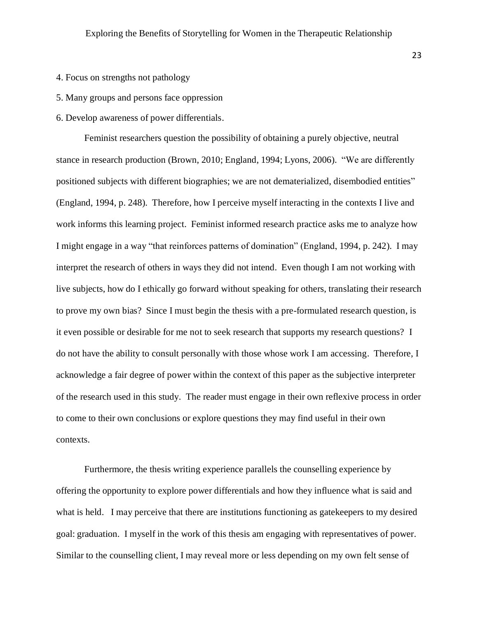- 4. Focus on strengths not pathology
- 5. Many groups and persons face oppression
- 6. Develop awareness of power differentials.

Feminist researchers question the possibility of obtaining a purely objective, neutral stance in research production (Brown, 2010; England, 1994; Lyons, 2006). "We are differently positioned subjects with different biographies; we are not dematerialized, disembodied entities" (England, 1994, p. 248). Therefore, how I perceive myself interacting in the contexts I live and work informs this learning project. Feminist informed research practice asks me to analyze how I might engage in a way "that reinforces patterns of domination" (England, 1994, p. 242). I may interpret the research of others in ways they did not intend. Even though I am not working with live subjects, how do I ethically go forward without speaking for others, translating their research to prove my own bias? Since I must begin the thesis with a pre-formulated research question, is it even possible or desirable for me not to seek research that supports my research questions? I do not have the ability to consult personally with those whose work I am accessing. Therefore, I acknowledge a fair degree of power within the context of this paper as the subjective interpreter of the research used in this study. The reader must engage in their own reflexive process in order to come to their own conclusions or explore questions they may find useful in their own contexts.

Furthermore, the thesis writing experience parallels the counselling experience by offering the opportunity to explore power differentials and how they influence what is said and what is held. I may perceive that there are institutions functioning as gatekeepers to my desired goal: graduation. I myself in the work of this thesis am engaging with representatives of power. Similar to the counselling client, I may reveal more or less depending on my own felt sense of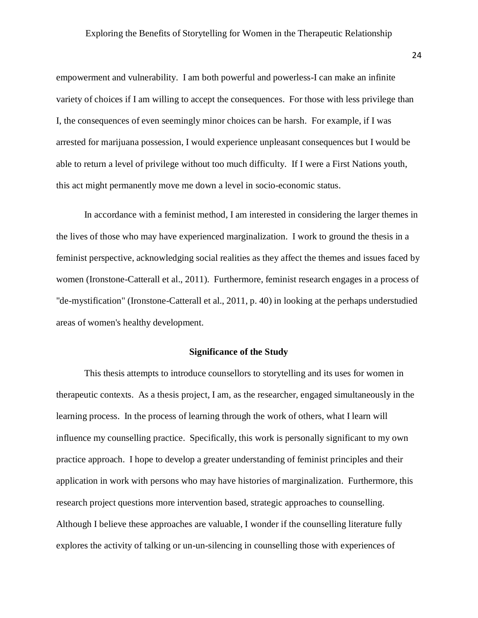empowerment and vulnerability. I am both powerful and powerless-I can make an infinite variety of choices if I am willing to accept the consequences. For those with less privilege than I, the consequences of even seemingly minor choices can be harsh. For example, if I was arrested for marijuana possession, I would experience unpleasant consequences but I would be able to return a level of privilege without too much difficulty. If I were a First Nations youth, this act might permanently move me down a level in socio-economic status.

In accordance with a feminist method, I am interested in considering the larger themes in the lives of those who may have experienced marginalization. I work to ground the thesis in a feminist perspective, acknowledging social realities as they affect the themes and issues faced by women (Ironstone-Catterall et al., 2011). Furthermore, feminist research engages in a process of "de-mystification" (Ironstone-Catterall et al., 2011, p. 40) in looking at the perhaps understudied areas of women's healthy development.

#### **Significance of the Study**

<span id="page-23-0"></span>This thesis attempts to introduce counsellors to storytelling and its uses for women in therapeutic contexts. As a thesis project, I am, as the researcher, engaged simultaneously in the learning process. In the process of learning through the work of others, what I learn will influence my counselling practice. Specifically, this work is personally significant to my own practice approach. I hope to develop a greater understanding of feminist principles and their application in work with persons who may have histories of marginalization. Furthermore, this research project questions more intervention based, strategic approaches to counselling. Although I believe these approaches are valuable, I wonder if the counselling literature fully explores the activity of talking or un-un-silencing in counselling those with experiences of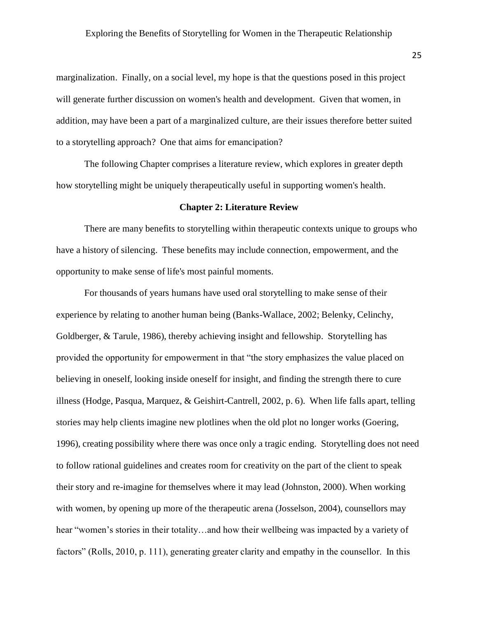marginalization. Finally, on a social level, my hope is that the questions posed in this project will generate further discussion on women's health and development. Given that women, in addition, may have been a part of a marginalized culture, are their issues therefore better suited to a storytelling approach? One that aims for emancipation?

The following Chapter comprises a literature review, which explores in greater depth how storytelling might be uniquely therapeutically useful in supporting women's health.

#### **Chapter 2: Literature Review**

<span id="page-24-0"></span>There are many benefits to storytelling within therapeutic contexts unique to groups who have a history of silencing. These benefits may include connection, empowerment, and the opportunity to make sense of life's most painful moments.

For thousands of years humans have used oral storytelling to make sense of their experience by relating to another human being (Banks-Wallace, 2002; Belenky, Celinchy, Goldberger, & Tarule, 1986), thereby achieving insight and fellowship. Storytelling has provided the opportunity for empowerment in that "the story emphasizes the value placed on believing in oneself, looking inside oneself for insight, and finding the strength there to cure illness (Hodge, Pasqua, Marquez, & Geishirt-Cantrell, 2002, p. 6). When life falls apart, telling stories may help clients imagine new plotlines when the old plot no longer works (Goering, 1996), creating possibility where there was once only a tragic ending. Storytelling does not need to follow rational guidelines and creates room for creativity on the part of the client to speak their story and re-imagine for themselves where it may lead (Johnston, 2000). When working with women, by opening up more of the therapeutic arena (Josselson, 2004), counsellors may hear "women's stories in their totality…and how their wellbeing was impacted by a variety of factors" (Rolls, 2010, p. 111), generating greater clarity and empathy in the counsellor. In this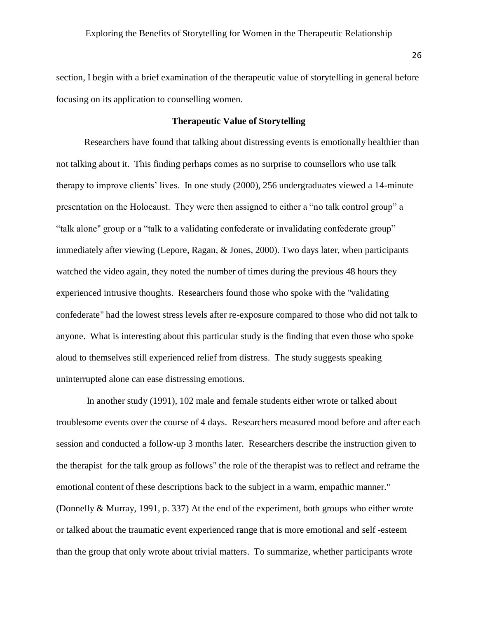section, I begin with a brief examination of the therapeutic value of storytelling in general before focusing on its application to counselling women.

# **Therapeutic Value of Storytelling**

<span id="page-25-0"></span>Researchers have found that talking about distressing events is emotionally healthier than not talking about it. This finding perhaps comes as no surprise to counsellors who use talk therapy to improve clients' lives. In one study (2000), 256 undergraduates viewed a 14-minute presentation on the Holocaust. They were then assigned to either a "no talk control group" a "talk alone" group or a "talk to a validating confederate or invalidating confederate group" immediately after viewing (Lepore, Ragan, & Jones, 2000). Two days later, when participants watched the video again, they noted the number of times during the previous 48 hours they experienced intrusive thoughts. Researchers found those who spoke with the "validating confederate" had the lowest stress levels after re-exposure compared to those who did not talk to anyone. What is interesting about this particular study is the finding that even those who spoke aloud to themselves still experienced relief from distress. The study suggests speaking uninterrupted alone can ease distressing emotions.

In another study (1991), 102 male and female students either wrote or talked about troublesome events over the course of 4 days. Researchers measured mood before and after each session and conducted a follow-up 3 months later. Researchers describe the instruction given to the therapist for the talk group as follows" the role of the therapist was to reflect and reframe the emotional content of these descriptions back to the subject in a warm, empathic manner." (Donnelly & Murray, 1991, p. 337) At the end of the experiment, both groups who either wrote or talked about the traumatic event experienced range that is more emotional and self -esteem than the group that only wrote about trivial matters. To summarize, whether participants wrote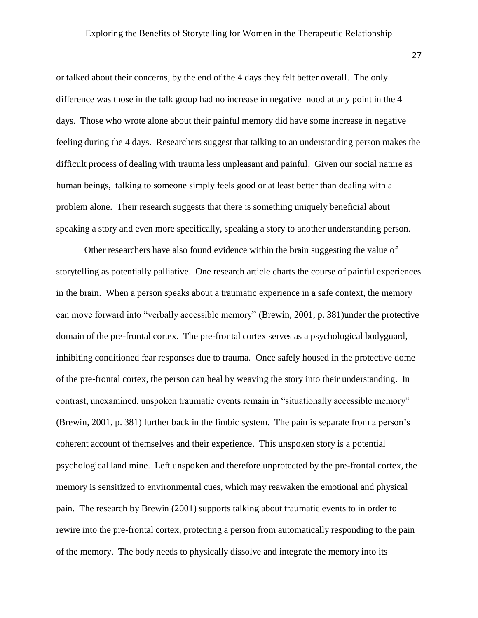or talked about their concerns, by the end of the 4 days they felt better overall. The only difference was those in the talk group had no increase in negative mood at any point in the 4 days. Those who wrote alone about their painful memory did have some increase in negative feeling during the 4 days. Researchers suggest that talking to an understanding person makes the difficult process of dealing with trauma less unpleasant and painful. Given our social nature as human beings, talking to someone simply feels good or at least better than dealing with a problem alone. Their research suggests that there is something uniquely beneficial about speaking a story and even more specifically, speaking a story to another understanding person.

Other researchers have also found evidence within the brain suggesting the value of storytelling as potentially palliative. One research article charts the course of painful experiences in the brain. When a person speaks about a traumatic experience in a safe context, the memory can move forward into "verbally accessible memory" (Brewin, 2001, p. 381)under the protective domain of the pre-frontal cortex. The pre-frontal cortex serves as a psychological bodyguard, inhibiting conditioned fear responses due to trauma. Once safely housed in the protective dome of the pre-frontal cortex, the person can heal by weaving the story into their understanding. In contrast, unexamined, unspoken traumatic events remain in "situationally accessible memory" (Brewin, 2001, p. 381) further back in the limbic system. The pain is separate from a person's coherent account of themselves and their experience. This unspoken story is a potential psychological land mine. Left unspoken and therefore unprotected by the pre-frontal cortex, the memory is sensitized to environmental cues, which may reawaken the emotional and physical pain. The research by Brewin (2001) supports talking about traumatic events to in order to rewire into the pre-frontal cortex, protecting a person from automatically responding to the pain of the memory. The body needs to physically dissolve and integrate the memory into its

27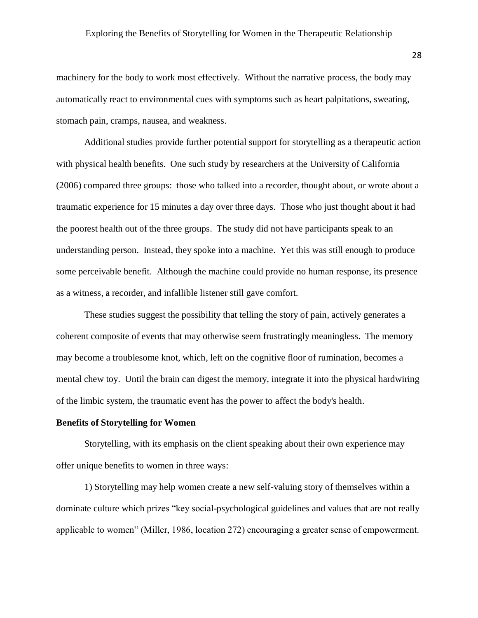machinery for the body to work most effectively. Without the narrative process, the body may automatically react to environmental cues with symptoms such as heart palpitations, sweating, stomach pain, cramps, nausea, and weakness.

Additional studies provide further potential support for storytelling as a therapeutic action with physical health benefits. One such study by researchers at the University of California (2006) compared three groups: those who talked into a recorder, thought about, or wrote about a traumatic experience for 15 minutes a day over three days. Those who just thought about it had the poorest health out of the three groups. The study did not have participants speak to an understanding person. Instead, they spoke into a machine. Yet this was still enough to produce some perceivable benefit. Although the machine could provide no human response, its presence as a witness, a recorder, and infallible listener still gave comfort.

These studies suggest the possibility that telling the story of pain, actively generates a coherent composite of events that may otherwise seem frustratingly meaningless. The memory may become a troublesome knot, which, left on the cognitive floor of rumination, becomes a mental chew toy. Until the brain can digest the memory, integrate it into the physical hardwiring of the limbic system, the traumatic event has the power to affect the body's health.

#### <span id="page-27-0"></span>**Benefits of Storytelling for Women**

Storytelling, with its emphasis on the client speaking about their own experience may offer unique benefits to women in three ways:

1) Storytelling may help women create a new self-valuing story of themselves within a dominate culture which prizes "key social-psychological guidelines and values that are not really applicable to women" (Miller, 1986, location 272) encouraging a greater sense of empowerment.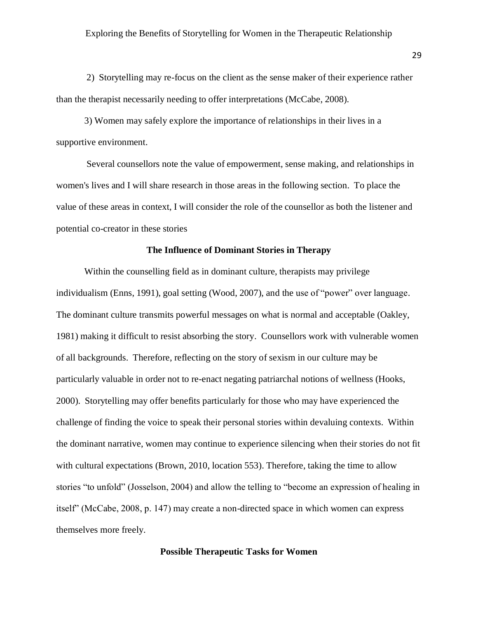## Exploring the Benefits of Storytelling for Women in the Therapeutic Relationship

2) Storytelling may re-focus on the client as the sense maker of their experience rather than the therapist necessarily needing to offer interpretations (McCabe, 2008).

3) Women may safely explore the importance of relationships in their lives in a supportive environment.

Several counsellors note the value of empowerment, sense making, and relationships in women's lives and I will share research in those areas in the following section. To place the value of these areas in context, I will consider the role of the counsellor as both the listener and potential co-creator in these stories

# **The Influence of Dominant Stories in Therapy**

<span id="page-28-0"></span>Within the counselling field as in dominant culture, therapists may privilege individualism (Enns, 1991), goal setting (Wood, 2007), and the use of "power" over language. The dominant culture transmits powerful messages on what is normal and acceptable (Oakley, 1981) making it difficult to resist absorbing the story. Counsellors work with vulnerable women of all backgrounds. Therefore, reflecting on the story of sexism in our culture may be particularly valuable in order not to re-enact negating patriarchal notions of wellness (Hooks, 2000). Storytelling may offer benefits particularly for those who may have experienced the challenge of finding the voice to speak their personal stories within devaluing contexts. Within the dominant narrative, women may continue to experience silencing when their stories do not fit with cultural expectations (Brown, 2010, location 553). Therefore, taking the time to allow stories "to unfold" (Josselson, 2004) and allow the telling to "become an expression of healing in itself" (McCabe, 2008, p. 147) may create a non-directed space in which women can express themselves more freely.

#### <span id="page-28-1"></span>**Possible Therapeutic Tasks for Women**

29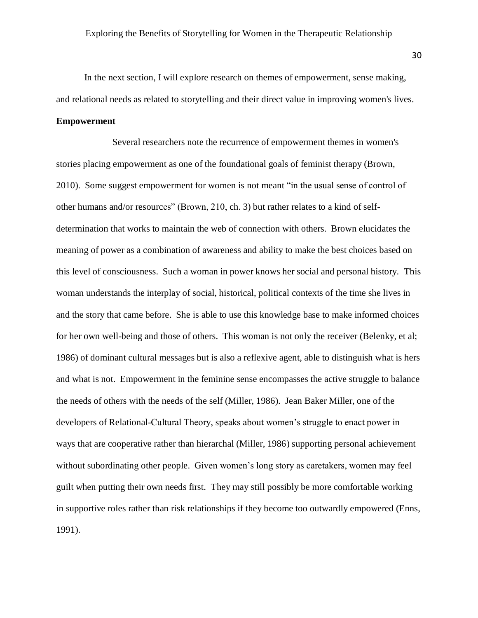In the next section, I will explore research on themes of empowerment, sense making, and relational needs as related to storytelling and their direct value in improving women's lives.

#### <span id="page-29-0"></span>**Empowerment**

Several researchers note the recurrence of empowerment themes in women's stories placing empowerment as one of the foundational goals of feminist therapy (Brown, 2010). Some suggest empowerment for women is not meant "in the usual sense of control of other humans and/or resources" (Brown, 210, ch. 3) but rather relates to a kind of selfdetermination that works to maintain the web of connection with others. Brown elucidates the meaning of power as a combination of awareness and ability to make the best choices based on this level of consciousness. Such a woman in power knows her social and personal history. This woman understands the interplay of social, historical, political contexts of the time she lives in and the story that came before. She is able to use this knowledge base to make informed choices for her own well-being and those of others. This woman is not only the receiver (Belenky, et al; 1986) of dominant cultural messages but is also a reflexive agent, able to distinguish what is hers and what is not. Empowerment in the feminine sense encompasses the active struggle to balance the needs of others with the needs of the self (Miller, 1986). Jean Baker Miller, one of the developers of Relational-Cultural Theory, speaks about women's struggle to enact power in ways that are cooperative rather than hierarchal (Miller, 1986) supporting personal achievement without subordinating other people. Given women's long story as caretakers, women may feel guilt when putting their own needs first. They may still possibly be more comfortable working in supportive roles rather than risk relationships if they become too outwardly empowered (Enns, 1991).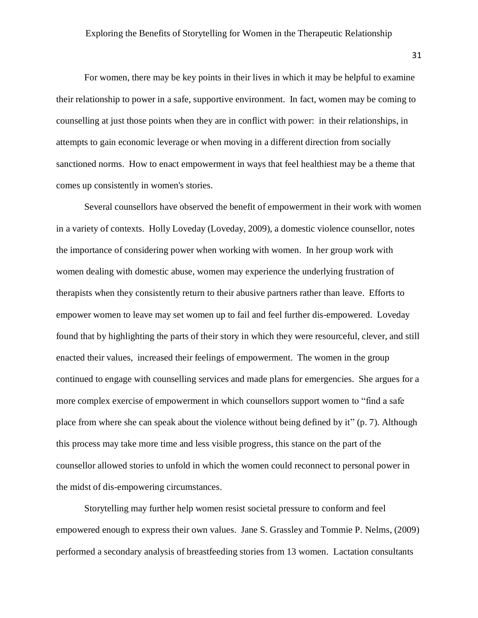For women, there may be key points in their lives in which it may be helpful to examine their relationship to power in a safe, supportive environment. In fact, women may be coming to counselling at just those points when they are in conflict with power: in their relationships, in attempts to gain economic leverage or when moving in a different direction from socially sanctioned norms. How to enact empowerment in ways that feel healthiest may be a theme that comes up consistently in women's stories.

Several counsellors have observed the benefit of empowerment in their work with women in a variety of contexts. Holly Loveday (Loveday, 2009), a domestic violence counsellor, notes the importance of considering power when working with women. In her group work with women dealing with domestic abuse, women may experience the underlying frustration of therapists when they consistently return to their abusive partners rather than leave. Efforts to empower women to leave may set women up to fail and feel further dis-empowered. Loveday found that by highlighting the parts of their story in which they were resourceful, clever, and still enacted their values, increased their feelings of empowerment. The women in the group continued to engage with counselling services and made plans for emergencies. She argues for a more complex exercise of empowerment in which counsellors support women to "find a safe place from where she can speak about the violence without being defined by it" (p. 7). Although this process may take more time and less visible progress, this stance on the part of the counsellor allowed stories to unfold in which the women could reconnect to personal power in the midst of dis-empowering circumstances.

Storytelling may further help women resist societal pressure to conform and feel empowered enough to express their own values. Jane S. Grassley and Tommie P. Nelms, (2009) performed a secondary analysis of breastfeeding stories from 13 women. Lactation consultants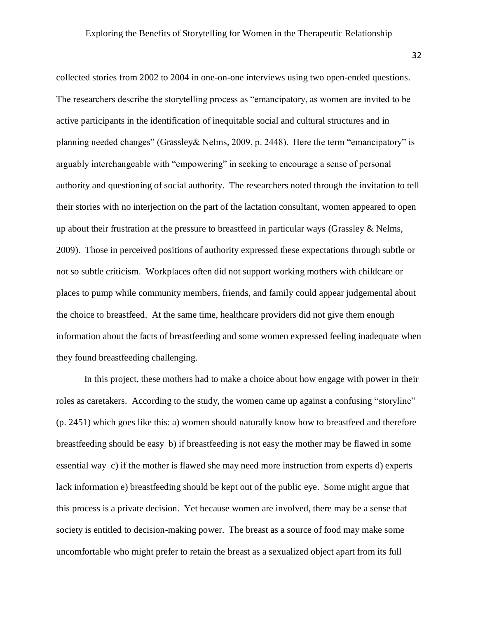collected stories from 2002 to 2004 in one-on-one interviews using two open-ended questions. The researchers describe the storytelling process as "emancipatory, as women are invited to be active participants in the identification of inequitable social and cultural structures and in planning needed changes" (Grassley& Nelms, 2009, p. 2448). Here the term "emancipatory" is arguably interchangeable with "empowering" in seeking to encourage a sense of personal authority and questioning of social authority. The researchers noted through the invitation to tell their stories with no interjection on the part of the lactation consultant, women appeared to open up about their frustration at the pressure to breastfeed in particular ways (Grassley  $\&$  Nelms, 2009). Those in perceived positions of authority expressed these expectations through subtle or not so subtle criticism. Workplaces often did not support working mothers with childcare or places to pump while community members, friends, and family could appear judgemental about the choice to breastfeed. At the same time, healthcare providers did not give them enough information about the facts of breastfeeding and some women expressed feeling inadequate when they found breastfeeding challenging.

In this project, these mothers had to make a choice about how engage with power in their roles as caretakers. According to the study, the women came up against a confusing "storyline" (p. 2451) which goes like this: a) women should naturally know how to breastfeed and therefore breastfeeding should be easy b) if breastfeeding is not easy the mother may be flawed in some essential way c) if the mother is flawed she may need more instruction from experts d) experts lack information e) breastfeeding should be kept out of the public eye. Some might argue that this process is a private decision. Yet because women are involved, there may be a sense that society is entitled to decision-making power. The breast as a source of food may make some uncomfortable who might prefer to retain the breast as a sexualized object apart from its full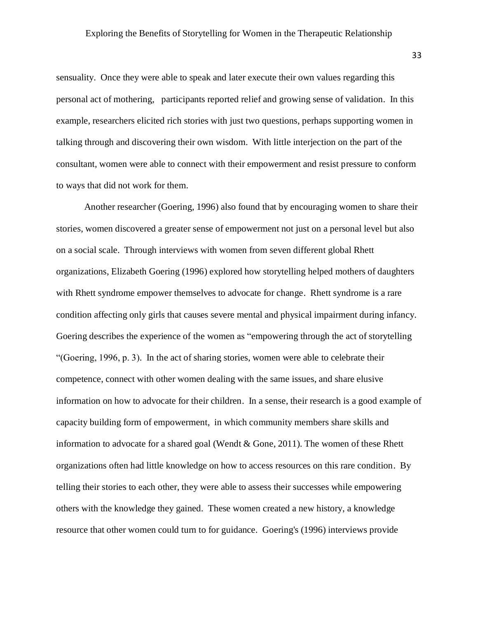sensuality. Once they were able to speak and later execute their own values regarding this personal act of mothering, participants reported relief and growing sense of validation. In this example, researchers elicited rich stories with just two questions, perhaps supporting women in talking through and discovering their own wisdom. With little interjection on the part of the consultant, women were able to connect with their empowerment and resist pressure to conform to ways that did not work for them.

Another researcher (Goering, 1996) also found that by encouraging women to share their stories, women discovered a greater sense of empowerment not just on a personal level but also on a social scale. Through interviews with women from seven different global Rhett organizations, Elizabeth Goering (1996) explored how storytelling helped mothers of daughters with Rhett syndrome empower themselves to advocate for change. Rhett syndrome is a rare condition affecting only girls that causes severe mental and physical impairment during infancy. Goering describes the experience of the women as "empowering through the act of storytelling "(Goering, 1996, p. 3). In the act of sharing stories, women were able to celebrate their competence, connect with other women dealing with the same issues, and share elusive information on how to advocate for their children. In a sense, their research is a good example of capacity building form of empowerment, in which community members share skills and information to advocate for a shared goal (Wendt & Gone, 2011). The women of these Rhett organizations often had little knowledge on how to access resources on this rare condition. By telling their stories to each other, they were able to assess their successes while empowering others with the knowledge they gained. These women created a new history, a knowledge resource that other women could turn to for guidance. Goering's (1996) interviews provide

33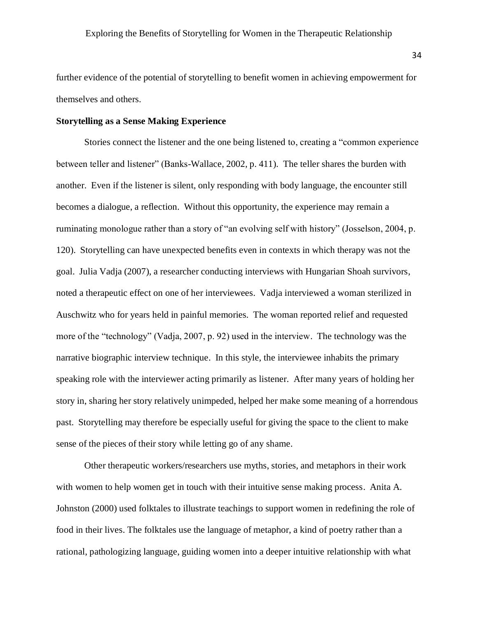further evidence of the potential of storytelling to benefit women in achieving empowerment for themselves and others.

# <span id="page-33-0"></span>**Storytelling as a Sense Making Experience**

Stories connect the listener and the one being listened to, creating a "common experience between teller and listener" (Banks-Wallace, 2002, p. 411). The teller shares the burden with another. Even if the listener is silent, only responding with body language, the encounter still becomes a dialogue, a reflection. Without this opportunity, the experience may remain a ruminating monologue rather than a story of "an evolving self with history" (Josselson, 2004, p. 120). Storytelling can have unexpected benefits even in contexts in which therapy was not the goal. Julia Vadja (2007), a researcher conducting interviews with Hungarian Shoah survivors, noted a therapeutic effect on one of her interviewees. Vadja interviewed a woman sterilized in Auschwitz who for years held in painful memories. The woman reported relief and requested more of the "technology" (Vadja, 2007, p. 92) used in the interview. The technology was the narrative biographic interview technique. In this style, the interviewee inhabits the primary speaking role with the interviewer acting primarily as listener. After many years of holding her story in, sharing her story relatively unimpeded, helped her make some meaning of a horrendous past. Storytelling may therefore be especially useful for giving the space to the client to make sense of the pieces of their story while letting go of any shame.

Other therapeutic workers/researchers use myths, stories, and metaphors in their work with women to help women get in touch with their intuitive sense making process. Anita A. Johnston (2000) used folktales to illustrate teachings to support women in redefining the role of food in their lives. The folktales use the language of metaphor, a kind of poetry rather than a rational, pathologizing language, guiding women into a deeper intuitive relationship with what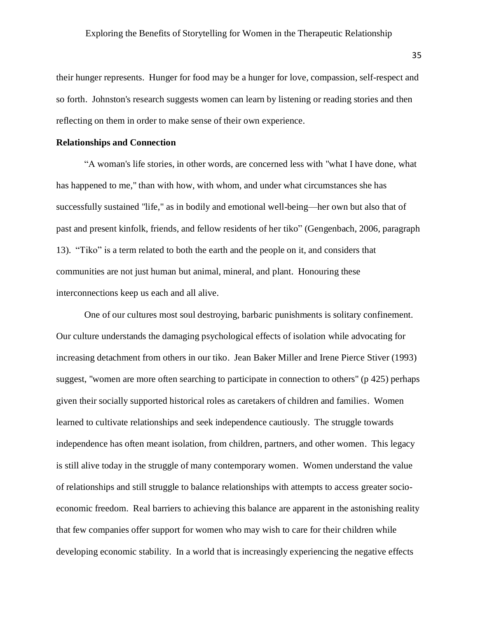their hunger represents. Hunger for food may be a hunger for love, compassion, self-respect and so forth. Johnston's research suggests women can learn by listening or reading stories and then reflecting on them in order to make sense of their own experience.

# <span id="page-34-0"></span>**Relationships and Connection**

"A woman's life stories, in other words, are concerned less with "what I have done, what has happened to me," than with how, with whom, and under what circumstances she has successfully sustained "life," as in bodily and emotional well-being—her own but also that of past and present kinfolk, friends, and fellow residents of her tiko" (Gengenbach, 2006, paragraph 13). "Tiko" is a term related to both the earth and the people on it, and considers that communities are not just human but animal, mineral, and plant. Honouring these interconnections keep us each and all alive.

One of our cultures most soul destroying, barbaric punishments is solitary confinement. Our culture understands the damaging psychological effects of isolation while advocating for increasing detachment from others in our tiko. Jean Baker Miller and Irene Pierce Stiver (1993) suggest, "women are more often searching to participate in connection to others" (p 425) perhaps given their socially supported historical roles as caretakers of children and families. Women learned to cultivate relationships and seek independence cautiously. The struggle towards independence has often meant isolation, from children, partners, and other women. This legacy is still alive today in the struggle of many contemporary women. Women understand the value of relationships and still struggle to balance relationships with attempts to access greater socioeconomic freedom. Real barriers to achieving this balance are apparent in the astonishing reality that few companies offer support for women who may wish to care for their children while developing economic stability. In a world that is increasingly experiencing the negative effects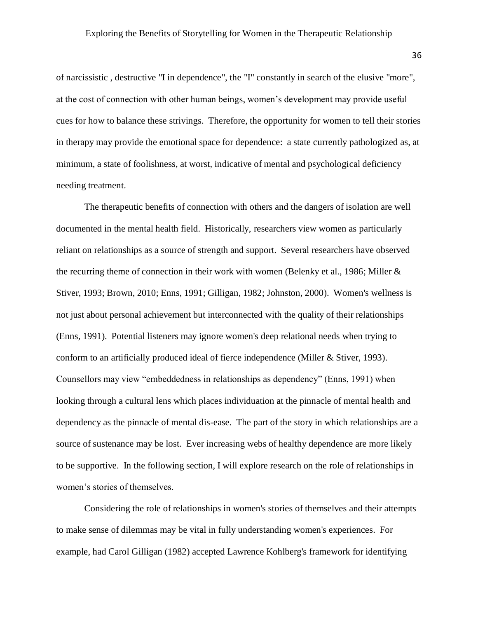of narcissistic , destructive "I in dependence", the "I" constantly in search of the elusive "more", at the cost of connection with other human beings, women's development may provide useful cues for how to balance these strivings. Therefore, the opportunity for women to tell their stories in therapy may provide the emotional space for dependence: a state currently pathologized as, at minimum, a state of foolishness, at worst, indicative of mental and psychological deficiency needing treatment.

The therapeutic benefits of connection with others and the dangers of isolation are well documented in the mental health field. Historically, researchers view women as particularly reliant on relationships as a source of strength and support. Several researchers have observed the recurring theme of connection in their work with women (Belenky et al., 1986; Miller & Stiver, 1993; Brown, 2010; Enns, 1991; Gilligan, 1982; Johnston, 2000). Women's wellness is not just about personal achievement but interconnected with the quality of their relationships (Enns, 1991). Potential listeners may ignore women's deep relational needs when trying to conform to an artificially produced ideal of fierce independence (Miller & Stiver, 1993). Counsellors may view "embeddedness in relationships as dependency" (Enns, 1991) when looking through a cultural lens which places individuation at the pinnacle of mental health and dependency as the pinnacle of mental dis-ease. The part of the story in which relationships are a source of sustenance may be lost. Ever increasing webs of healthy dependence are more likely to be supportive. In the following section, I will explore research on the role of relationships in women's stories of themselves.

Considering the role of relationships in women's stories of themselves and their attempts to make sense of dilemmas may be vital in fully understanding women's experiences. For example, had Carol Gilligan (1982) accepted Lawrence Kohlberg's framework for identifying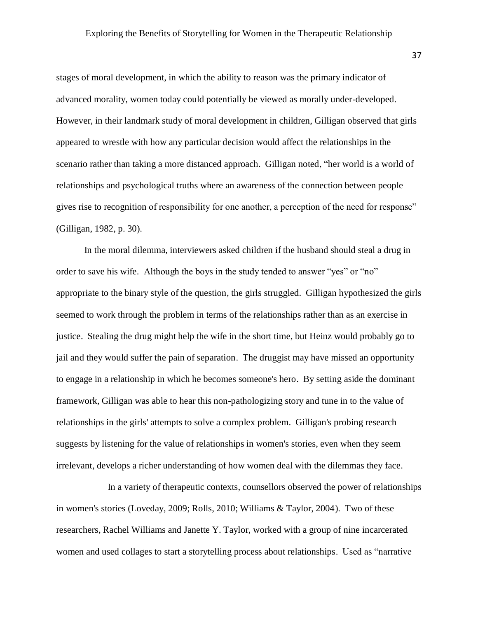stages of moral development, in which the ability to reason was the primary indicator of advanced morality, women today could potentially be viewed as morally under-developed. However, in their landmark study of moral development in children, Gilligan observed that girls appeared to wrestle with how any particular decision would affect the relationships in the scenario rather than taking a more distanced approach. Gilligan noted, "her world is a world of relationships and psychological truths where an awareness of the connection between people gives rise to recognition of responsibility for one another, a perception of the need for response" (Gilligan, 1982, p. 30).

In the moral dilemma, interviewers asked children if the husband should steal a drug in order to save his wife. Although the boys in the study tended to answer "yes" or "no" appropriate to the binary style of the question, the girls struggled. Gilligan hypothesized the girls seemed to work through the problem in terms of the relationships rather than as an exercise in justice. Stealing the drug might help the wife in the short time, but Heinz would probably go to jail and they would suffer the pain of separation. The druggist may have missed an opportunity to engage in a relationship in which he becomes someone's hero. By setting aside the dominant framework, Gilligan was able to hear this non-pathologizing story and tune in to the value of relationships in the girls' attempts to solve a complex problem. Gilligan's probing research suggests by listening for the value of relationships in women's stories, even when they seem irrelevant, develops a richer understanding of how women deal with the dilemmas they face.

 In a variety of therapeutic contexts, counsellors observed the power of relationships in women's stories (Loveday, 2009; Rolls, 2010; Williams & Taylor, 2004). Two of these researchers, Rachel Williams and Janette Y. Taylor, worked with a group of nine incarcerated women and used collages to start a storytelling process about relationships. Used as "narrative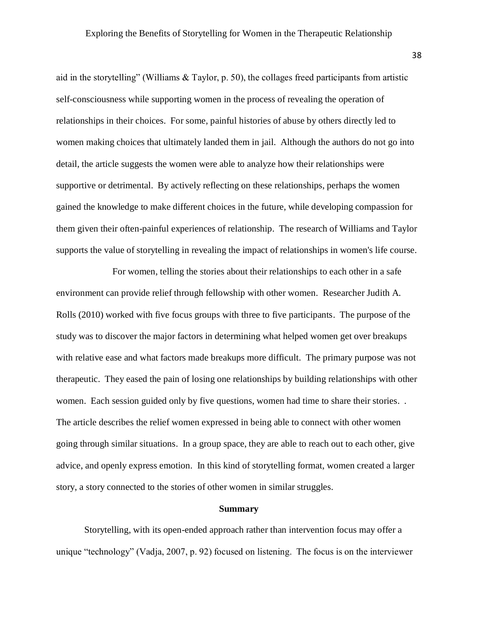aid in the storytelling" (Williams & Taylor, p. 50), the collages freed participants from artistic self-consciousness while supporting women in the process of revealing the operation of relationships in their choices. For some, painful histories of abuse by others directly led to women making choices that ultimately landed them in jail. Although the authors do not go into detail, the article suggests the women were able to analyze how their relationships were supportive or detrimental. By actively reflecting on these relationships, perhaps the women gained the knowledge to make different choices in the future, while developing compassion for them given their often-painful experiences of relationship. The research of Williams and Taylor supports the value of storytelling in revealing the impact of relationships in women's life course.

For women, telling the stories about their relationships to each other in a safe environment can provide relief through fellowship with other women. Researcher Judith A. Rolls (2010) worked with five focus groups with three to five participants. The purpose of the study was to discover the major factors in determining what helped women get over breakups with relative ease and what factors made breakups more difficult. The primary purpose was not therapeutic. They eased the pain of losing one relationships by building relationships with other women. Each session guided only by five questions, women had time to share their stories. . The article describes the relief women expressed in being able to connect with other women going through similar situations. In a group space, they are able to reach out to each other, give advice, and openly express emotion. In this kind of storytelling format, women created a larger story, a story connected to the stories of other women in similar struggles.

#### **Summary**

Storytelling, with its open-ended approach rather than intervention focus may offer a unique "technology" (Vadja, 2007, p. 92) focused on listening. The focus is on the interviewer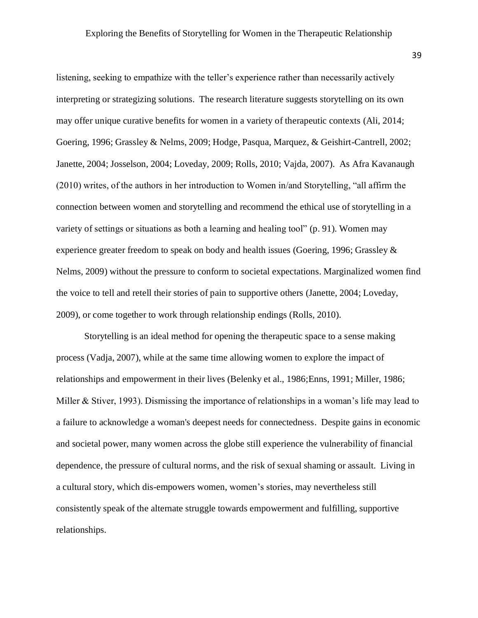listening, seeking to empathize with the teller's experience rather than necessarily actively interpreting or strategizing solutions. The research literature suggests storytelling on its own may offer unique curative benefits for women in a variety of therapeutic contexts (Ali, 2014; Goering, 1996; Grassley & Nelms, 2009; Hodge, Pasqua, Marquez, & Geishirt-Cantrell, 2002; Janette, 2004; Josselson, 2004; Loveday, 2009; Rolls, 2010; Vajda, 2007). As Afra Kavanaugh (2010) writes, of the authors in her introduction to Women in/and Storytelling, "all affirm the connection between women and storytelling and recommend the ethical use of storytelling in a variety of settings or situations as both a learning and healing tool" (p. 91). Women may experience greater freedom to speak on body and health issues (Goering, 1996; Grassley & Nelms, 2009) without the pressure to conform to societal expectations. Marginalized women find the voice to tell and retell their stories of pain to supportive others (Janette, 2004; Loveday, 2009), or come together to work through relationship endings (Rolls, 2010).

Storytelling is an ideal method for opening the therapeutic space to a sense making process (Vadja, 2007), while at the same time allowing women to explore the impact of relationships and empowerment in their lives (Belenky et al., 1986;Enns, 1991; Miller, 1986; Miller & Stiver, 1993). Dismissing the importance of relationships in a woman's life may lead to a failure to acknowledge a woman's deepest needs for connectedness. Despite gains in economic and societal power, many women across the globe still experience the vulnerability of financial dependence, the pressure of cultural norms, and the risk of sexual shaming or assault. Living in a cultural story, which dis-empowers women, women's stories, may nevertheless still consistently speak of the alternate struggle towards empowerment and fulfilling, supportive relationships.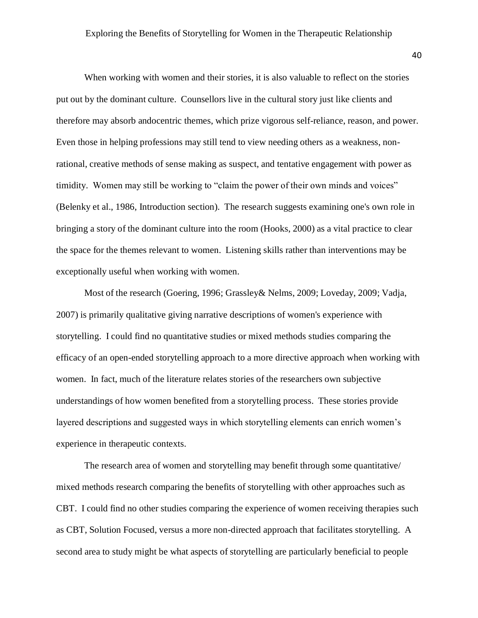When working with women and their stories, it is also valuable to reflect on the stories put out by the dominant culture. Counsellors live in the cultural story just like clients and therefore may absorb andocentric themes, which prize vigorous self-reliance, reason, and power. Even those in helping professions may still tend to view needing others as a weakness, nonrational, creative methods of sense making as suspect, and tentative engagement with power as timidity. Women may still be working to "claim the power of their own minds and voices" (Belenky et al., 1986, Introduction section). The research suggests examining one's own role in bringing a story of the dominant culture into the room (Hooks, 2000) as a vital practice to clear the space for the themes relevant to women. Listening skills rather than interventions may be exceptionally useful when working with women.

Most of the research (Goering, 1996; Grassley& Nelms, 2009; Loveday, 2009; Vadja, 2007) is primarily qualitative giving narrative descriptions of women's experience with storytelling. I could find no quantitative studies or mixed methods studies comparing the efficacy of an open-ended storytelling approach to a more directive approach when working with women. In fact, much of the literature relates stories of the researchers own subjective understandings of how women benefited from a storytelling process. These stories provide layered descriptions and suggested ways in which storytelling elements can enrich women's experience in therapeutic contexts.

The research area of women and storytelling may benefit through some quantitative/ mixed methods research comparing the benefits of storytelling with other approaches such as CBT. I could find no other studies comparing the experience of women receiving therapies such as CBT, Solution Focused, versus a more non-directed approach that facilitates storytelling. A second area to study might be what aspects of storytelling are particularly beneficial to people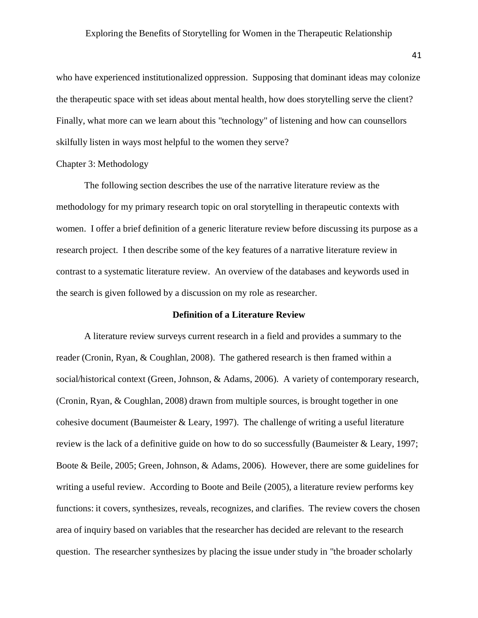who have experienced institutionalized oppression. Supposing that dominant ideas may colonize the therapeutic space with set ideas about mental health, how does storytelling serve the client? Finally, what more can we learn about this "technology" of listening and how can counsellors skilfully listen in ways most helpful to the women they serve?

#### Chapter 3: Methodology

The following section describes the use of the narrative literature review as the methodology for my primary research topic on oral storytelling in therapeutic contexts with women. I offer a brief definition of a generic literature review before discussing its purpose as a research project. I then describe some of the key features of a narrative literature review in contrast to a systematic literature review. An overview of the databases and keywords used in the search is given followed by a discussion on my role as researcher.

## **Definition of a Literature Review**

A literature review surveys current research in a field and provides a summary to the reader (Cronin, Ryan, & Coughlan, 2008). The gathered research is then framed within a social/historical context (Green, Johnson, & Adams, 2006). A variety of contemporary research, (Cronin, Ryan, & Coughlan, 2008) drawn from multiple sources, is brought together in one cohesive document (Baumeister & Leary, 1997). The challenge of writing a useful literature review is the lack of a definitive guide on how to do so successfully (Baumeister & Leary, 1997; Boote & Beile, 2005; Green, Johnson, & Adams, 2006). However, there are some guidelines for writing a useful review. According to Boote and Beile (2005), a literature review performs key functions: it covers, synthesizes, reveals, recognizes, and clarifies. The review covers the chosen area of inquiry based on variables that the researcher has decided are relevant to the research question. The researcher synthesizes by placing the issue under study in "the broader scholarly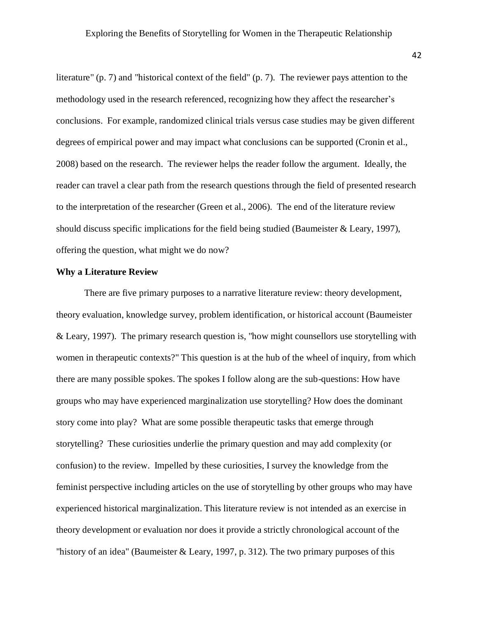literature" (p. 7) and "historical context of the field" (p. 7). The reviewer pays attention to the methodology used in the research referenced, recognizing how they affect the researcher's conclusions. For example, randomized clinical trials versus case studies may be given different degrees of empirical power and may impact what conclusions can be supported (Cronin et al., 2008) based on the research. The reviewer helps the reader follow the argument. Ideally, the reader can travel a clear path from the research questions through the field of presented research to the interpretation of the researcher (Green et al., 2006). The end of the literature review should discuss specific implications for the field being studied (Baumeister  $\&$  Leary, 1997), offering the question, what might we do now?

# **Why a Literature Review**

There are five primary purposes to a narrative literature review: theory development, theory evaluation, knowledge survey, problem identification, or historical account (Baumeister & Leary, 1997). The primary research question is, "how might counsellors use storytelling with women in therapeutic contexts?" This question is at the hub of the wheel of inquiry, from which there are many possible spokes. The spokes I follow along are the sub-questions: How have groups who may have experienced marginalization use storytelling? How does the dominant story come into play? What are some possible therapeutic tasks that emerge through storytelling? These curiosities underlie the primary question and may add complexity (or confusion) to the review. Impelled by these curiosities, I survey the knowledge from the feminist perspective including articles on the use of storytelling by other groups who may have experienced historical marginalization. This literature review is not intended as an exercise in theory development or evaluation nor does it provide a strictly chronological account of the "history of an idea" (Baumeister  $&$  Leary, 1997, p. 312). The two primary purposes of this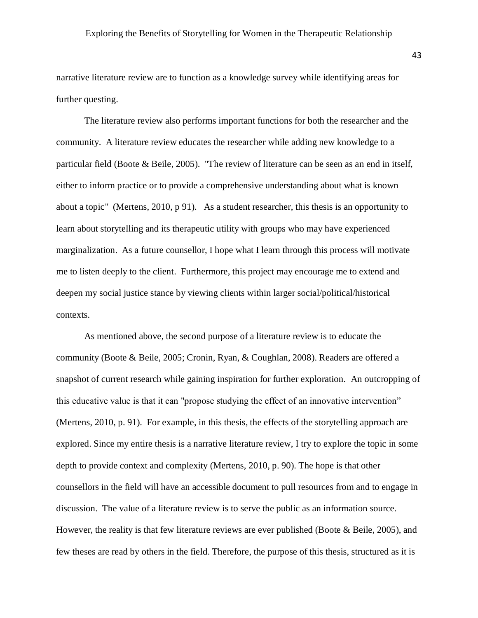narrative literature review are to function as a knowledge survey while identifying areas for further questing.

The literature review also performs important functions for both the researcher and the community. A literature review educates the researcher while adding new knowledge to a particular field (Boote & Beile, 2005). "The review of literature can be seen as an end in itself, either to inform practice or to provide a comprehensive understanding about what is known about a topic" (Mertens, 2010, p 91). As a student researcher, this thesis is an opportunity to learn about storytelling and its therapeutic utility with groups who may have experienced marginalization. As a future counsellor, I hope what I learn through this process will motivate me to listen deeply to the client. Furthermore, this project may encourage me to extend and deepen my social justice stance by viewing clients within larger social/political/historical contexts.

As mentioned above, the second purpose of a literature review is to educate the community (Boote & Beile, 2005; Cronin, Ryan, & Coughlan, 2008). Readers are offered a snapshot of current research while gaining inspiration for further exploration. An outcropping of this educative value is that it can "propose studying the effect of an innovative intervention" (Mertens, 2010, p. 91). For example, in this thesis, the effects of the storytelling approach are explored. Since my entire thesis is a narrative literature review, I try to explore the topic in some depth to provide context and complexity (Mertens, 2010, p. 90). The hope is that other counsellors in the field will have an accessible document to pull resources from and to engage in discussion. The value of a literature review is to serve the public as an information source. However, the reality is that few literature reviews are ever published (Boote & Beile, 2005), and few theses are read by others in the field. Therefore, the purpose of this thesis, structured as it is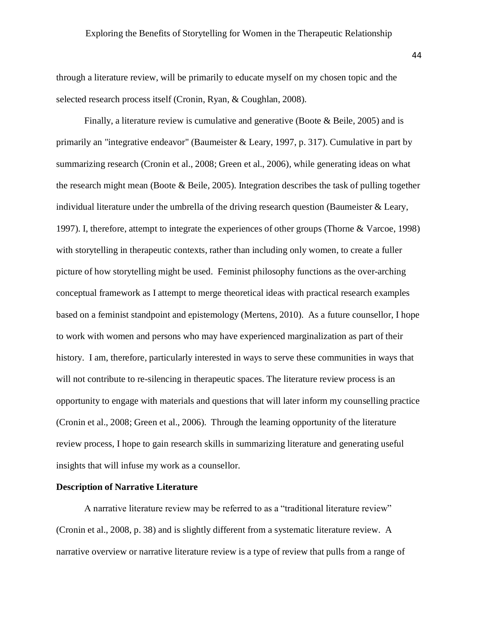through a literature review, will be primarily to educate myself on my chosen topic and the selected research process itself (Cronin, Ryan, & Coughlan, 2008).

Finally, a literature review is cumulative and generative (Boote & Beile, 2005) and is primarily an "integrative endeavor" (Baumeister & Leary, 1997, p. 317). Cumulative in part by summarizing research (Cronin et al., 2008; Green et al., 2006), while generating ideas on what the research might mean (Boote & Beile, 2005). Integration describes the task of pulling together individual literature under the umbrella of the driving research question (Baumeister & Leary, 1997). I, therefore, attempt to integrate the experiences of other groups (Thorne & Varcoe, 1998) with storytelling in therapeutic contexts, rather than including only women, to create a fuller picture of how storytelling might be used. Feminist philosophy functions as the over-arching conceptual framework as I attempt to merge theoretical ideas with practical research examples based on a feminist standpoint and epistemology (Mertens, 2010). As a future counsellor, I hope to work with women and persons who may have experienced marginalization as part of their history. I am, therefore, particularly interested in ways to serve these communities in ways that will not contribute to re-silencing in therapeutic spaces. The literature review process is an opportunity to engage with materials and questions that will later inform my counselling practice (Cronin et al., 2008; Green et al., 2006). Through the learning opportunity of the literature review process, I hope to gain research skills in summarizing literature and generating useful insights that will infuse my work as a counsellor.

## **Description of Narrative Literature**

A narrative literature review may be referred to as a "traditional literature review" (Cronin et al., 2008, p. 38) and is slightly different from a systematic literature review. A narrative overview or narrative literature review is a type of review that pulls from a range of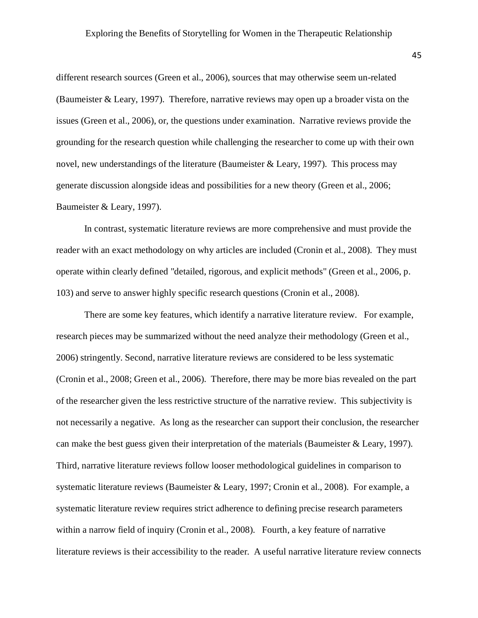different research sources (Green et al., 2006), sources that may otherwise seem un-related (Baumeister & Leary, 1997). Therefore, narrative reviews may open up a broader vista on the issues (Green et al., 2006), or, the questions under examination. Narrative reviews provide the grounding for the research question while challenging the researcher to come up with their own novel, new understandings of the literature (Baumeister & Leary, 1997). This process may generate discussion alongside ideas and possibilities for a new theory (Green et al., 2006; Baumeister & Leary, 1997).

In contrast, systematic literature reviews are more comprehensive and must provide the reader with an exact methodology on why articles are included (Cronin et al., 2008). They must operate within clearly defined "detailed, rigorous, and explicit methods" (Green et al., 2006, p. 103) and serve to answer highly specific research questions (Cronin et al., 2008).

There are some key features, which identify a narrative literature review. For example, research pieces may be summarized without the need analyze their methodology (Green et al., 2006) stringently. Second, narrative literature reviews are considered to be less systematic (Cronin et al., 2008; Green et al., 2006). Therefore, there may be more bias revealed on the part of the researcher given the less restrictive structure of the narrative review. This subjectivity is not necessarily a negative. As long as the researcher can support their conclusion, the researcher can make the best guess given their interpretation of the materials (Baumeister & Leary, 1997). Third, narrative literature reviews follow looser methodological guidelines in comparison to systematic literature reviews (Baumeister & Leary, 1997; Cronin et al., 2008). For example, a systematic literature review requires strict adherence to defining precise research parameters within a narrow field of inquiry (Cronin et al., 2008). Fourth, a key feature of narrative literature reviews is their accessibility to the reader. A useful narrative literature review connects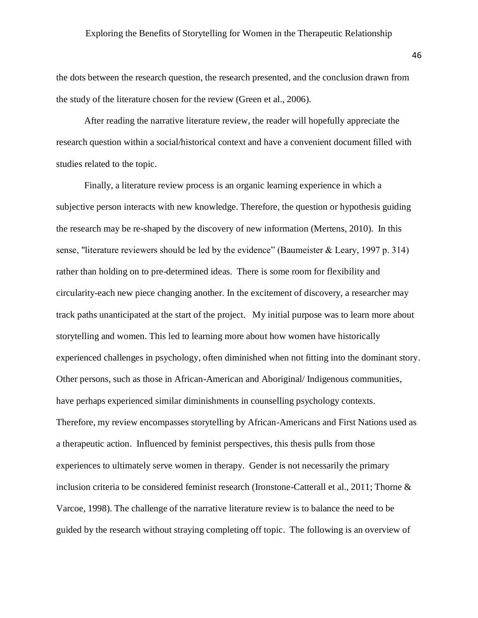the dots between the research question, the research presented, and the conclusion drawn from the study of the literature chosen for the review (Green et al., 2006).

After reading the narrative literature review, the reader will hopefully appreciate the research question within a social/historical context and have a convenient document filled with studies related to the topic.

Finally, a literature review process is an organic learning experience in which a subjective person interacts with new knowledge. Therefore, the question or hypothesis guiding the research may be re-shaped by the discovery of new information (Mertens, 2010). In this sense, "literature reviewers should be led by the evidence" (Baumeister  $&$  Leary, 1997 p. 314) rather than holding on to pre-determined ideas. There is some room for flexibility and circularity-each new piece changing another. In the excitement of discovery, a researcher may track paths unanticipated at the start of the project. My initial purpose was to learn more about storytelling and women. This led to learning more about how women have historically experienced challenges in psychology, often diminished when not fitting into the dominant story. Other persons, such as those in African-American and Aboriginal/ Indigenous communities, have perhaps experienced similar diminishments in counselling psychology contexts. Therefore, my review encompasses storytelling by African-Americans and First Nations used as a therapeutic action. Influenced by feminist perspectives, this thesis pulls from those experiences to ultimately serve women in therapy. Gender is not necessarily the primary inclusion criteria to be considered feminist research (Ironstone-Catterall et al., 2011; Thorne & Varcoe, 1998). The challenge of the narrative literature review is to balance the need to be guided by the research without straying completing off topic. The following is an overview of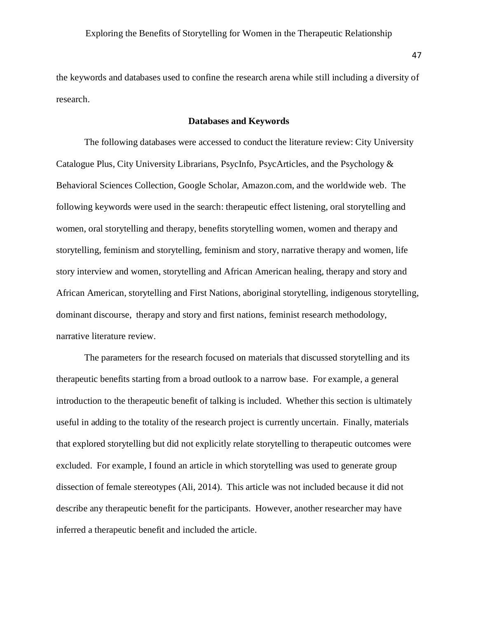the keywords and databases used to confine the research arena while still including a diversity of research.

## **Databases and Keywords**

The following databases were accessed to conduct the literature review: City University Catalogue Plus, City University Librarians, PsycInfo, PsycArticles, and the Psychology & Behavioral Sciences Collection, Google Scholar, Amazon.com, and the worldwide web. The following keywords were used in the search: therapeutic effect listening, oral storytelling and women, oral storytelling and therapy, benefits storytelling women, women and therapy and storytelling, feminism and storytelling, feminism and story, narrative therapy and women, life story interview and women, storytelling and African American healing, therapy and story and African American, storytelling and First Nations, aboriginal storytelling, indigenous storytelling, dominant discourse, therapy and story and first nations, feminist research methodology, narrative literature review.

The parameters for the research focused on materials that discussed storytelling and its therapeutic benefits starting from a broad outlook to a narrow base. For example, a general introduction to the therapeutic benefit of talking is included. Whether this section is ultimately useful in adding to the totality of the research project is currently uncertain. Finally, materials that explored storytelling but did not explicitly relate storytelling to therapeutic outcomes were excluded. For example, I found an article in which storytelling was used to generate group dissection of female stereotypes (Ali, 2014). This article was not included because it did not describe any therapeutic benefit for the participants. However, another researcher may have inferred a therapeutic benefit and included the article.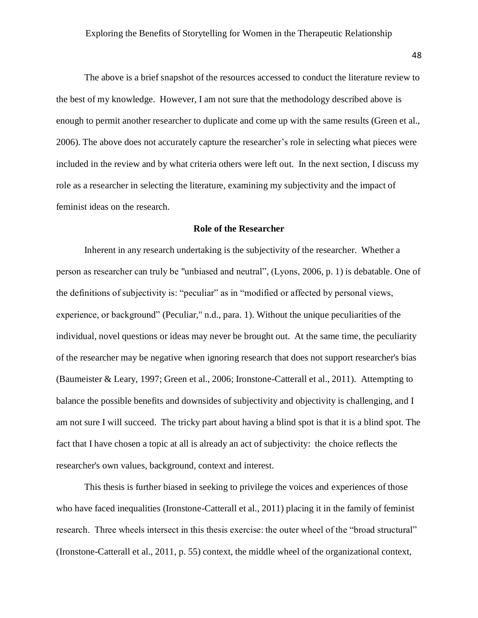The above is a brief snapshot of the resources accessed to conduct the literature review to the best of my knowledge. However, I am not sure that the methodology described above is enough to permit another researcher to duplicate and come up with the same results (Green et al., 2006). The above does not accurately capture the researcher's role in selecting what pieces were included in the review and by what criteria others were left out. In the next section, I discuss my role as a researcher in selecting the literature, examining my subjectivity and the impact of feminist ideas on the research.

### **Role of the Researcher**

Inherent in any research undertaking is the subjectivity of the researcher. Whether a person as researcher can truly be "unbiased and neutral", (Lyons, 2006, p. 1) is debatable. One of the definitions of subjectivity is: "peculiar" as in "modified or affected by personal views, experience, or background" (Peculiar," n.d., para. 1). Without the unique peculiarities of the individual, novel questions or ideas may never be brought out. At the same time, the peculiarity of the researcher may be negative when ignoring research that does not support researcher's bias (Baumeister & Leary, 1997; Green et al., 2006; Ironstone-Catterall et al., 2011). Attempting to balance the possible benefits and downsides of subjectivity and objectivity is challenging, and I am not sure I will succeed. The tricky part about having a blind spot is that it is a blind spot. The fact that I have chosen a topic at all is already an act of subjectivity: the choice reflects the researcher's own values, background, context and interest.

This thesis is further biased in seeking to privilege the voices and experiences of those who have faced inequalities (Ironstone-Catterall et al., 2011) placing it in the family of feminist research. Three wheels intersect in this thesis exercise: the outer wheel of the "broad structural" (Ironstone-Catterall et al., 2011, p. 55) context, the middle wheel of the organizational context,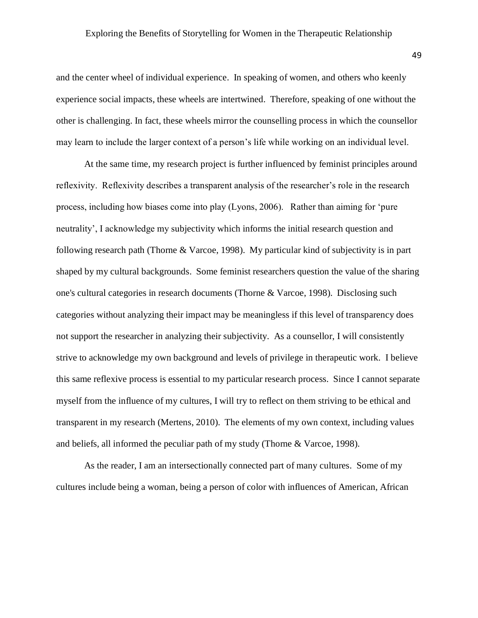#### Exploring the Benefits of Storytelling for Women in the Therapeutic Relationship

and the center wheel of individual experience. In speaking of women, and others who keenly experience social impacts, these wheels are intertwined. Therefore, speaking of one without the other is challenging. In fact, these wheels mirror the counselling process in which the counsellor may learn to include the larger context of a person's life while working on an individual level.

At the same time, my research project is further influenced by feminist principles around reflexivity. Reflexivity describes a transparent analysis of the researcher's role in the research process, including how biases come into play (Lyons, 2006). Rather than aiming for 'pure neutrality', I acknowledge my subjectivity which informs the initial research question and following research path (Thorne & Varcoe, 1998). My particular kind of subjectivity is in part shaped by my cultural backgrounds. Some feminist researchers question the value of the sharing one's cultural categories in research documents (Thorne & Varcoe, 1998). Disclosing such categories without analyzing their impact may be meaningless if this level of transparency does not support the researcher in analyzing their subjectivity. As a counsellor, I will consistently strive to acknowledge my own background and levels of privilege in therapeutic work. I believe this same reflexive process is essential to my particular research process. Since I cannot separate myself from the influence of my cultures, I will try to reflect on them striving to be ethical and transparent in my research (Mertens, 2010). The elements of my own context, including values and beliefs, all informed the peculiar path of my study (Thorne & Varcoe, 1998).

As the reader, I am an intersectionally connected part of many cultures. Some of my cultures include being a woman, being a person of color with influences of American, African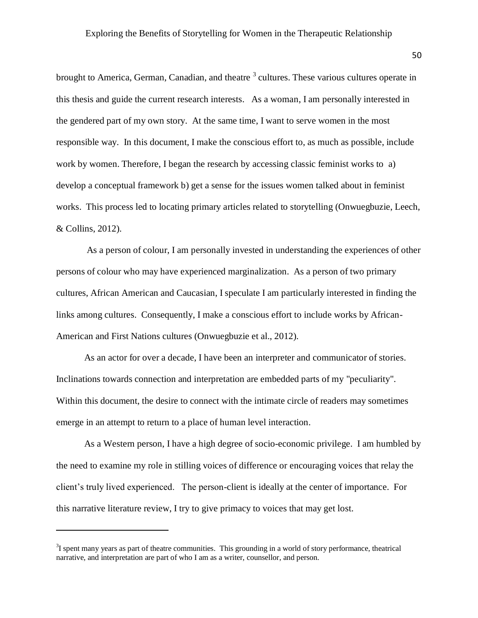brought to America, German, Canadian, and theatre <sup>3</sup> cultures. These various cultures operate in this thesis and guide the current research interests. As a woman, I am personally interested in the gendered part of my own story. At the same time, I want to serve women in the most responsible way. In this document, I make the conscious effort to, as much as possible, include work by women. Therefore, I began the research by accessing classic feminist works to a) develop a conceptual framework b) get a sense for the issues women talked about in feminist works. This process led to locating primary articles related to storytelling (Onwuegbuzie, Leech, & Collins, 2012).

As a person of colour, I am personally invested in understanding the experiences of other persons of colour who may have experienced marginalization. As a person of two primary cultures, African American and Caucasian, I speculate I am particularly interested in finding the links among cultures. Consequently, I make a conscious effort to include works by African-American and First Nations cultures (Onwuegbuzie et al., 2012).

As an actor for over a decade, I have been an interpreter and communicator of stories. Inclinations towards connection and interpretation are embedded parts of my "peculiarity". Within this document, the desire to connect with the intimate circle of readers may sometimes emerge in an attempt to return to a place of human level interaction.

As a Western person, I have a high degree of socio-economic privilege. I am humbled by the need to examine my role in stilling voices of difference or encouraging voices that relay the client's truly lived experienced. The person-client is ideally at the center of importance. For this narrative literature review, I try to give primacy to voices that may get lost.

 $\overline{a}$ 

 $3I$  spent many years as part of theatre communities. This grounding in a world of story performance, theatrical narrative, and interpretation are part of who I am as a writer, counsellor, and person.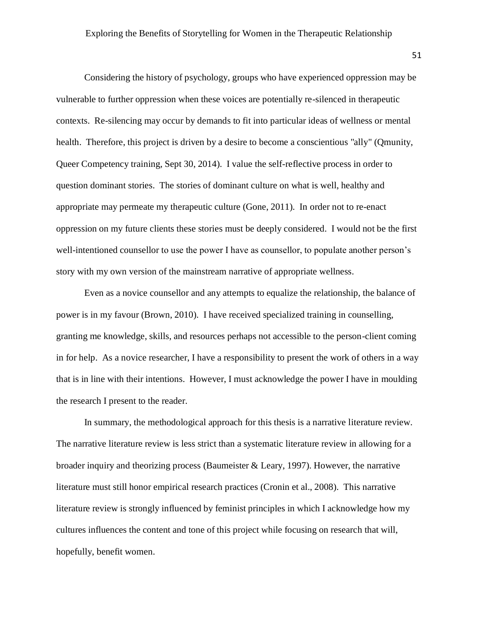#### Exploring the Benefits of Storytelling for Women in the Therapeutic Relationship

Considering the history of psychology, groups who have experienced oppression may be vulnerable to further oppression when these voices are potentially re-silenced in therapeutic contexts. Re-silencing may occur by demands to fit into particular ideas of wellness or mental health. Therefore, this project is driven by a desire to become a conscientious "ally" (Qmunity, Queer Competency training, Sept 30, 2014). I value the self-reflective process in order to question dominant stories. The stories of dominant culture on what is well, healthy and appropriate may permeate my therapeutic culture (Gone, 2011). In order not to re-enact oppression on my future clients these stories must be deeply considered. I would not be the first well-intentioned counsellor to use the power I have as counsellor, to populate another person's story with my own version of the mainstream narrative of appropriate wellness.

Even as a novice counsellor and any attempts to equalize the relationship, the balance of power is in my favour (Brown, 2010). I have received specialized training in counselling, granting me knowledge, skills, and resources perhaps not accessible to the person-client coming in for help. As a novice researcher, I have a responsibility to present the work of others in a way that is in line with their intentions. However, I must acknowledge the power I have in moulding the research I present to the reader.

In summary, the methodological approach for this thesis is a narrative literature review. The narrative literature review is less strict than a systematic literature review in allowing for a broader inquiry and theorizing process (Baumeister & Leary, 1997). However, the narrative literature must still honor empirical research practices (Cronin et al., 2008). This narrative literature review is strongly influenced by feminist principles in which I acknowledge how my cultures influences the content and tone of this project while focusing on research that will, hopefully, benefit women.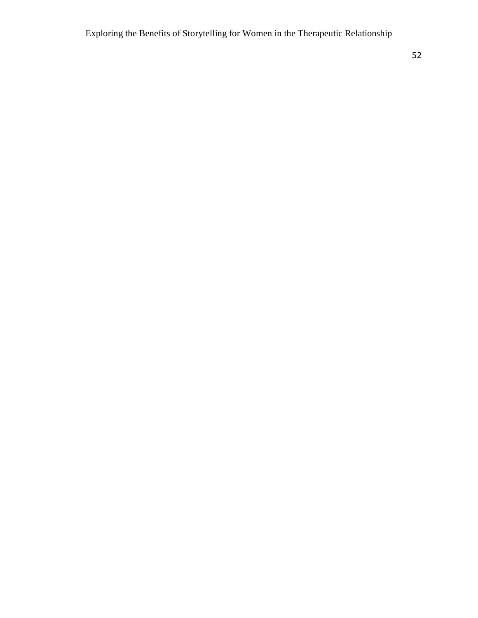Exploring the Benefits of Storytelling for Women in the Therapeutic Relationship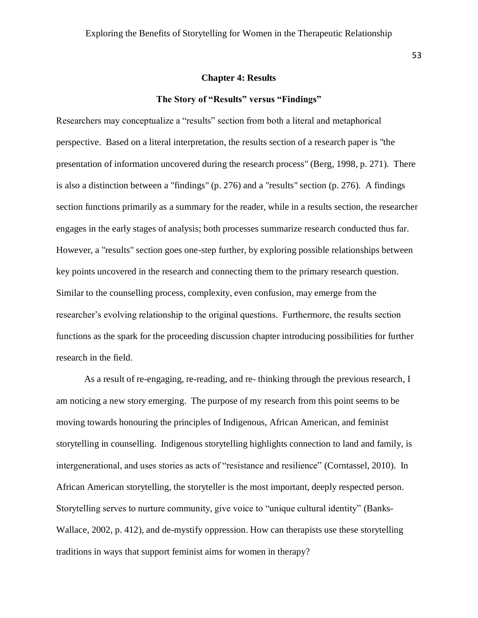#### **Chapter 4: Results**

## **The Story of "Results" versus "Findings"**

Researchers may conceptualize a "results" section from both a literal and metaphorical perspective. Based on a literal interpretation, the results section of a research paper is "the presentation of information uncovered during the research process" (Berg, 1998, p. 271). There is also a distinction between a "findings" (p. 276) and a "results" section (p. 276). A findings section functions primarily as a summary for the reader, while in a results section, the researcher engages in the early stages of analysis; both processes summarize research conducted thus far. However, a "results" section goes one-step further, by exploring possible relationships between key points uncovered in the research and connecting them to the primary research question. Similar to the counselling process, complexity, even confusion, may emerge from the researcher's evolving relationship to the original questions. Furthermore, the results section functions as the spark for the proceeding discussion chapter introducing possibilities for further research in the field.

As a result of re-engaging, re-reading, and re- thinking through the previous research, I am noticing a new story emerging. The purpose of my research from this point seems to be moving towards honouring the principles of Indigenous, African American, and feminist storytelling in counselling. Indigenous storytelling highlights connection to land and family, is intergenerational, and uses stories as acts of "resistance and resilience" (Corntassel, 2010). In African American storytelling, the storyteller is the most important, deeply respected person. Storytelling serves to nurture community, give voice to "unique cultural identity" (Banks-Wallace, 2002, p. 412), and de-mystify oppression. How can therapists use these storytelling traditions in ways that support feminist aims for women in therapy?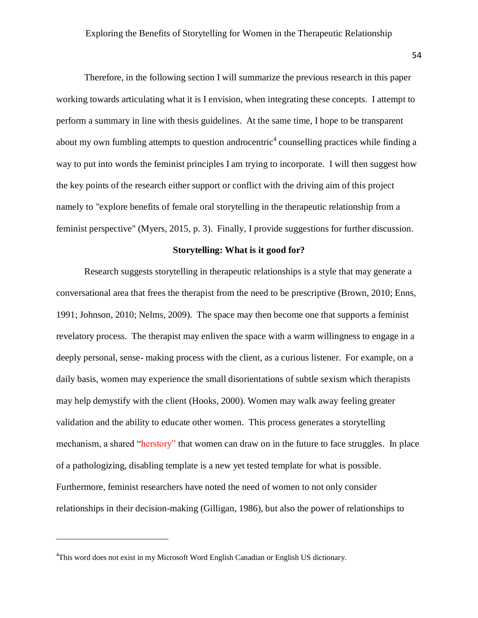Therefore, in the following section I will summarize the previous research in this paper working towards articulating what it is I envision, when integrating these concepts. I attempt to perform a summary in line with thesis guidelines. At the same time, I hope to be transparent about my own fumbling attempts to question androcentric<sup>4</sup> counselling practices while finding a way to put into words the feminist principles I am trying to incorporate. I will then suggest how the key points of the research either support or conflict with the driving aim of this project namely to "explore benefits of female oral storytelling in the therapeutic relationship from a feminist perspective" (Myers, 2015, p. 3). Finally, I provide suggestions for further discussion.

## **Storytelling: What is it good for?**

Research suggests storytelling in therapeutic relationships is a style that may generate a conversational area that frees the therapist from the need to be prescriptive (Brown, 2010; Enns, 1991; Johnson, 2010; Nelms, 2009). The space may then become one that supports a feminist revelatory process. The therapist may enliven the space with a warm willingness to engage in a deeply personal, sense- making process with the client, as a curious listener. For example, on a daily basis, women may experience the small disorientations of subtle sexism which therapists may help demystify with the client (Hooks, 2000). Women may walk away feeling greater validation and the ability to educate other women. This process generates a storytelling mechanism, a shared "herstory" that women can draw on in the future to face struggles. In place of a pathologizing, disabling template is a new yet tested template for what is possible. Furthermore, feminist researchers have noted the need of women to not only consider relationships in their decision-making (Gilligan, 1986), but also the power of relationships to

 $\overline{\phantom{a}}$ 

<sup>&</sup>lt;sup>4</sup>This word does not exist in my Microsoft Word English Canadian or English US dictionary.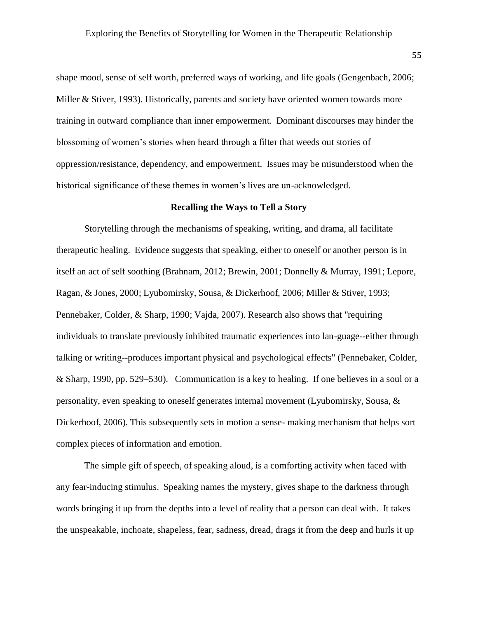shape mood, sense of self worth, preferred ways of working, and life goals (Gengenbach, 2006; Miller & Stiver, 1993). Historically, parents and society have oriented women towards more training in outward compliance than inner empowerment. Dominant discourses may hinder the blossoming of women's stories when heard through a filter that weeds out stories of oppression/resistance, dependency, and empowerment. Issues may be misunderstood when the historical significance of these themes in women's lives are un-acknowledged.

#### **Recalling the Ways to Tell a Story**

Storytelling through the mechanisms of speaking, writing, and drama, all facilitate therapeutic healing. Evidence suggests that speaking, either to oneself or another person is in itself an act of self soothing (Brahnam, 2012; Brewin, 2001; Donnelly & Murray, 1991; Lepore, Ragan, & Jones, 2000; Lyubomirsky, Sousa, & Dickerhoof, 2006; Miller & Stiver, 1993; Pennebaker, Colder, & Sharp, 1990; Vajda, 2007). Research also shows that "requiring individuals to translate previously inhibited traumatic experiences into lan-guage--either through talking or writing--produces important physical and psychological effects" (Pennebaker, Colder, & Sharp, 1990, pp. 529–530). Communication is a key to healing. If one believes in a soul or a personality, even speaking to oneself generates internal movement (Lyubomirsky, Sousa, & Dickerhoof, 2006). This subsequently sets in motion a sense- making mechanism that helps sort complex pieces of information and emotion.

The simple gift of speech, of speaking aloud, is a comforting activity when faced with any fear-inducing stimulus. Speaking names the mystery, gives shape to the darkness through words bringing it up from the depths into a level of reality that a person can deal with. It takes the unspeakable, inchoate, shapeless, fear, sadness, dread, drags it from the deep and hurls it up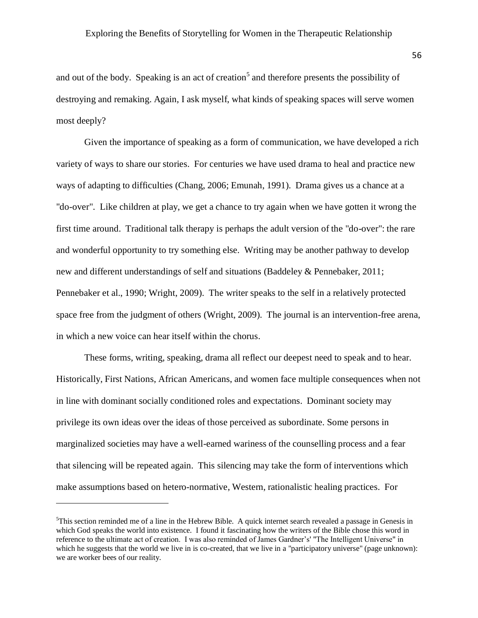#### Exploring the Benefits of Storytelling for Women in the Therapeutic Relationship

and out of the body. Speaking is an act of creation<sup>5</sup> and therefore presents the possibility of destroying and remaking. Again, I ask myself, what kinds of speaking spaces will serve women most deeply?

Given the importance of speaking as a form of communication, we have developed a rich variety of ways to share our stories. For centuries we have used drama to heal and practice new ways of adapting to difficulties (Chang, 2006; Emunah, 1991). Drama gives us a chance at a "do-over". Like children at play, we get a chance to try again when we have gotten it wrong the first time around. Traditional talk therapy is perhaps the adult version of the "do-over": the rare and wonderful opportunity to try something else. Writing may be another pathway to develop new and different understandings of self and situations (Baddeley & Pennebaker, 2011; Pennebaker et al., 1990; Wright, 2009). The writer speaks to the self in a relatively protected space free from the judgment of others (Wright, 2009). The journal is an intervention-free arena, in which a new voice can hear itself within the chorus.

These forms, writing, speaking, drama all reflect our deepest need to speak and to hear. Historically, First Nations, African Americans, and women face multiple consequences when not in line with dominant socially conditioned roles and expectations. Dominant society may privilege its own ideas over the ideas of those perceived as subordinate. Some persons in marginalized societies may have a well-earned wariness of the counselling process and a fear that silencing will be repeated again. This silencing may take the form of interventions which make assumptions based on hetero-normative, Western, rationalistic healing practices. For

 $\overline{\phantom{a}}$ 

 $5$ This section reminded me of a line in the Hebrew Bible. A quick internet search revealed a passage in Genesis in which God speaks the world into existence. I found it fascinating how the writers of the Bible chose this word in reference to the ultimate act of creation. I was also reminded of James Gardner's' "The Intelligent Universe" in which he suggests that the world we live in is co-created, that we live in a "participatory universe" (page unknown): we are worker bees of our reality.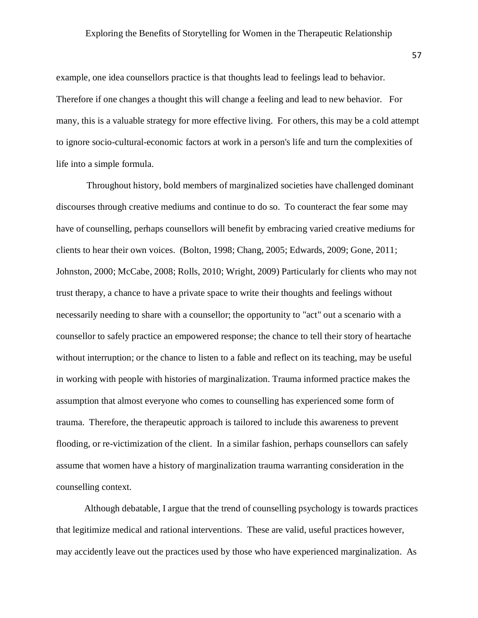example, one idea counsellors practice is that thoughts lead to feelings lead to behavior. Therefore if one changes a thought this will change a feeling and lead to new behavior. For many, this is a valuable strategy for more effective living. For others, this may be a cold attempt to ignore socio-cultural-economic factors at work in a person's life and turn the complexities of life into a simple formula.

Throughout history, bold members of marginalized societies have challenged dominant discourses through creative mediums and continue to do so. To counteract the fear some may have of counselling, perhaps counsellors will benefit by embracing varied creative mediums for clients to hear their own voices. (Bolton, 1998; Chang, 2005; Edwards, 2009; Gone, 2011; Johnston, 2000; McCabe, 2008; Rolls, 2010; Wright, 2009) Particularly for clients who may not trust therapy, a chance to have a private space to write their thoughts and feelings without necessarily needing to share with a counsellor; the opportunity to "act" out a scenario with a counsellor to safely practice an empowered response; the chance to tell their story of heartache without interruption; or the chance to listen to a fable and reflect on its teaching, may be useful in working with people with histories of marginalization. Trauma informed practice makes the assumption that almost everyone who comes to counselling has experienced some form of trauma. Therefore, the therapeutic approach is tailored to include this awareness to prevent flooding, or re-victimization of the client. In a similar fashion, perhaps counsellors can safely assume that women have a history of marginalization trauma warranting consideration in the counselling context.

Although debatable, I argue that the trend of counselling psychology is towards practices that legitimize medical and rational interventions. These are valid, useful practices however, may accidently leave out the practices used by those who have experienced marginalization. As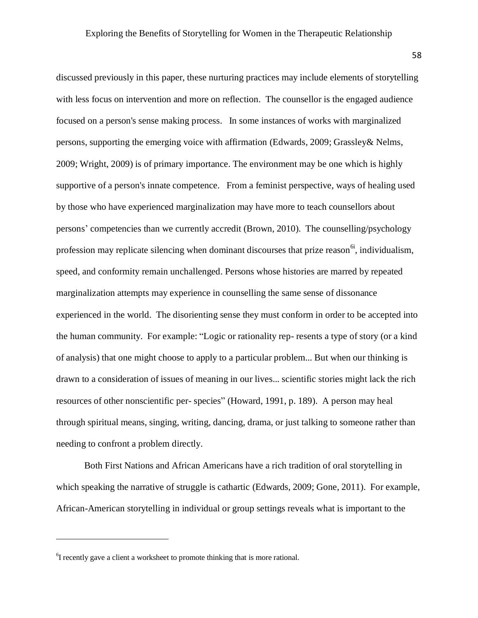discussed previously in this paper, these nurturing practices may include elements of storytelling with less focus on intervention and more on reflection. The counsellor is the engaged audience focused on a person's sense making process. In some instances of works with marginalized persons, supporting the emerging voice with affirmation (Edwards, 2009; Grassley& Nelms, 2009; Wright, 2009) is of primary importance. The environment may be one which is highly supportive of a person's innate competence. From a feminist perspective, ways of healing used by those who have experienced marginalization may have more to teach counsellors about persons' competencies than we currently accredit (Brown, 2010). The counselling/psychology profession may replicate silencing when dominant discourses that prize reason<sup>6i</sup>, individualism, speed, and conformity remain unchallenged. Persons whose histories are marred by repeated marginalization attempts may experience in counselling the same sense of dissonance experienced in the world. The disorienting sense they must conform in order to be accepted into the human community. For example: "Logic or rationality rep- resents a type of story (or a kind of analysis) that one might choose to apply to a particular problem... But when our thinking is drawn to a consideration of issues of meaning in our lives... scientific stories might lack the rich resources of other nonscientific per- species" (Howard, 1991, p. 189). A person may heal through spiritual means, singing, writing, dancing, drama, or just talking to someone rather than needing to confront a problem directly.

Both First Nations and African Americans have a rich tradition of oral storytelling in which speaking the narrative of struggle is cathartic (Edwards, 2009; Gone, 2011). For example, African-American storytelling in individual or group settings reveals what is important to the

 $\overline{\phantom{a}}$ 

 ${}^{6}I$  recently gave a client a worksheet to promote thinking that is more rational.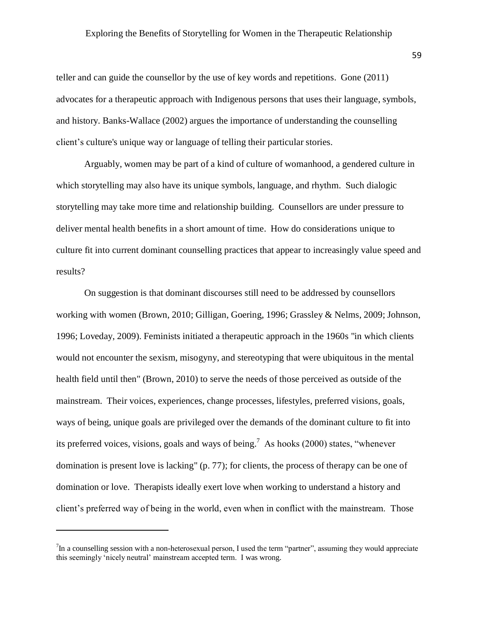#### Exploring the Benefits of Storytelling for Women in the Therapeutic Relationship

teller and can guide the counsellor by the use of key words and repetitions. Gone (2011) advocates for a therapeutic approach with Indigenous persons that uses their language, symbols, and history. Banks-Wallace (2002) argues the importance of understanding the counselling client's culture's unique way or language of telling their particular stories.

Arguably, women may be part of a kind of culture of womanhood, a gendered culture in which storytelling may also have its unique symbols, language, and rhythm. Such dialogic storytelling may take more time and relationship building. Counsellors are under pressure to deliver mental health benefits in a short amount of time. How do considerations unique to culture fit into current dominant counselling practices that appear to increasingly value speed and results?

On suggestion is that dominant discourses still need to be addressed by counsellors working with women (Brown, 2010; Gilligan, Goering, 1996; Grassley & Nelms, 2009; Johnson, 1996; Loveday, 2009). Feminists initiated a therapeutic approach in the 1960s "in which clients would not encounter the sexism, misogyny, and stereotyping that were ubiquitous in the mental health field until then" (Brown, 2010) to serve the needs of those perceived as outside of the mainstream. Their voices, experiences, change processes, lifestyles, preferred visions, goals, ways of being, unique goals are privileged over the demands of the dominant culture to fit into its preferred voices, visions, goals and ways of being.<sup>7</sup> As hooks (2000) states, "whenever domination is present love is lacking" (p. 77); for clients, the process of therapy can be one of domination or love. Therapists ideally exert love when working to understand a history and client's preferred way of being in the world, even when in conflict with the mainstream. Those

 $\overline{a}$ 

 $^{7}$ In a counselling session with a non-heterosexual person, I used the term "partner", assuming they would appreciate this seemingly 'nicely neutral' mainstream accepted term. I was wrong.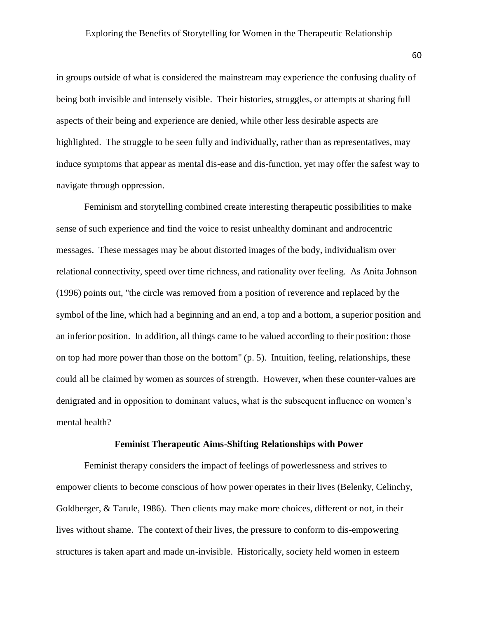in groups outside of what is considered the mainstream may experience the confusing duality of being both invisible and intensely visible. Their histories, struggles, or attempts at sharing full aspects of their being and experience are denied, while other less desirable aspects are highlighted. The struggle to be seen fully and individually, rather than as representatives, may induce symptoms that appear as mental dis-ease and dis-function, yet may offer the safest way to navigate through oppression.

Feminism and storytelling combined create interesting therapeutic possibilities to make sense of such experience and find the voice to resist unhealthy dominant and androcentric messages. These messages may be about distorted images of the body, individualism over relational connectivity, speed over time richness, and rationality over feeling. As Anita Johnson (1996) points out, "the circle was removed from a position of reverence and replaced by the symbol of the line, which had a beginning and an end, a top and a bottom, a superior position and an inferior position. In addition, all things came to be valued according to their position: those on top had more power than those on the bottom" (p. 5). Intuition, feeling, relationships, these could all be claimed by women as sources of strength. However, when these counter-values are denigrated and in opposition to dominant values, what is the subsequent influence on women's mental health?

### **Feminist Therapeutic Aims-Shifting Relationships with Power**

Feminist therapy considers the impact of feelings of powerlessness and strives to empower clients to become conscious of how power operates in their lives (Belenky, Celinchy, Goldberger, & Tarule, 1986). Then clients may make more choices, different or not, in their lives without shame. The context of their lives, the pressure to conform to dis-empowering structures is taken apart and made un-invisible. Historically, society held women in esteem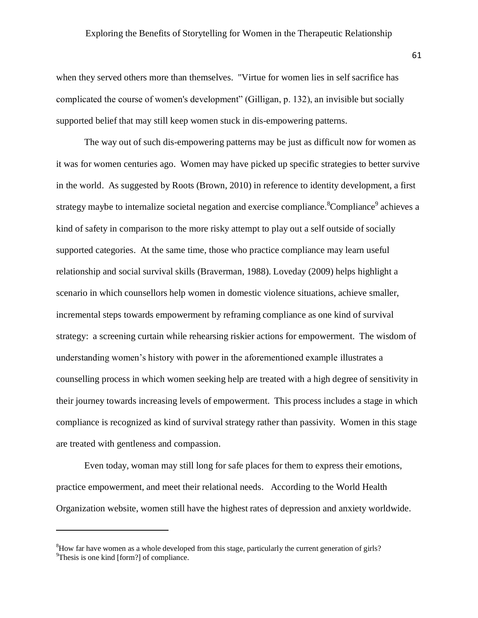when they served others more than themselves. "Virtue for women lies in self sacrifice has complicated the course of women's development" (Gilligan, p. 132), an invisible but socially supported belief that may still keep women stuck in dis-empowering patterns.

The way out of such dis-empowering patterns may be just as difficult now for women as it was for women centuries ago. Women may have picked up specific strategies to better survive in the world. As suggested by Roots (Brown, 2010) in reference to identity development, a first strategy maybe to internalize societal negation and exercise compliance. <sup>8</sup>Compliance<sup>9</sup> achieves a kind of safety in comparison to the more risky attempt to play out a self outside of socially supported categories. At the same time, those who practice compliance may learn useful relationship and social survival skills (Braverman, 1988). Loveday (2009) helps highlight a scenario in which counsellors help women in domestic violence situations, achieve smaller, incremental steps towards empowerment by reframing compliance as one kind of survival strategy: a screening curtain while rehearsing riskier actions for empowerment. The wisdom of understanding women's history with power in the aforementioned example illustrates a counselling process in which women seeking help are treated with a high degree of sensitivity in their journey towards increasing levels of empowerment. This process includes a stage in which compliance is recognized as kind of survival strategy rather than passivity. Women in this stage are treated with gentleness and compassion.

Even today, woman may still long for safe places for them to express their emotions, practice empowerment, and meet their relational needs. According to the World Health Organization website, women still have the highest rates of depression and anxiety worldwide.

 $\overline{a}$ 

 ${}^{8}$ How far have women as a whole developed from this stage, particularly the current generation of girls?  $\degree$ Thesis is one kind [form?] of compliance.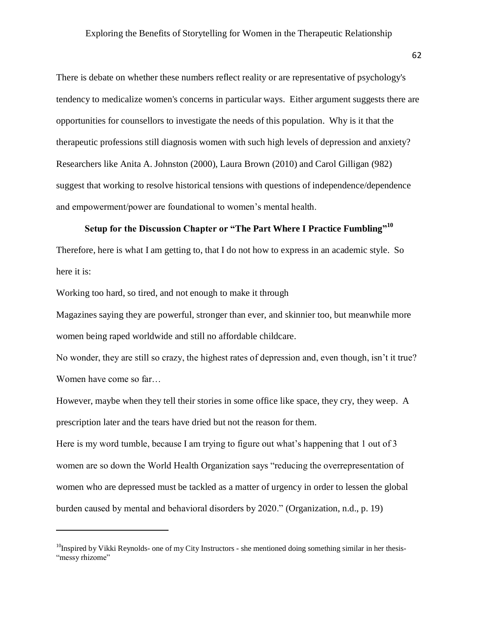There is debate on whether these numbers reflect reality or are representative of psychology's tendency to medicalize women's concerns in particular ways. Either argument suggests there are opportunities for counsellors to investigate the needs of this population. Why is it that the therapeutic professions still diagnosis women with such high levels of depression and anxiety? Researchers like Anita A. Johnston (2000), Laura Brown (2010) and Carol Gilligan (982) suggest that working to resolve historical tensions with questions of independence/dependence and empowerment/power are foundational to women's mental health.

# **Setup for the Discussion Chapter or "The Part Where I Practice Fumbling" 10**

Therefore, here is what I am getting to, that I do not how to express in an academic style. So here it is:

Working too hard, so tired, and not enough to make it through

 $\overline{a}$ 

Magazines saying they are powerful, stronger than ever, and skinnier too, but meanwhile more women being raped worldwide and still no affordable childcare.

No wonder, they are still so crazy, the highest rates of depression and, even though, isn't it true? Women have come so far…

However, maybe when they tell their stories in some office like space, they cry, they weep. A prescription later and the tears have dried but not the reason for them.

Here is my word tumble, because I am trying to figure out what's happening that 1 out of 3 women are so down the World Health Organization says "reducing the overrepresentation of women who are depressed must be tackled as a matter of urgency in order to lessen the global burden caused by mental and behavioral disorders by 2020." (Organization, n.d., p. 19)

 $10$ Inspired by Vikki Reynolds- one of my City Instructors - she mentioned doing something similar in her thesis-"messy rhizome"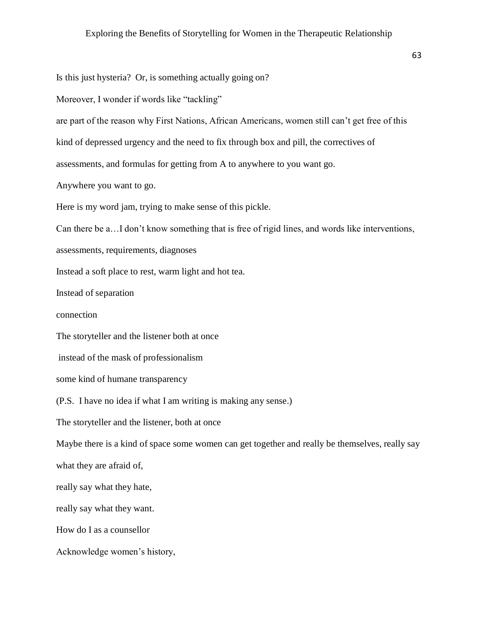Is this just hysteria? Or, is something actually going on?

Moreover, I wonder if words like "tackling"

are part of the reason why First Nations, African Americans, women still can't get free of this

kind of depressed urgency and the need to fix through box and pill, the correctives of

assessments, and formulas for getting from A to anywhere to you want go.

Anywhere you want to go.

Here is my word jam, trying to make sense of this pickle.

Can there be a…I don't know something that is free of rigid lines, and words like interventions,

assessments, requirements, diagnoses

Instead a soft place to rest, warm light and hot tea.

Instead of separation

connection

The storyteller and the listener both at once

instead of the mask of professionalism

some kind of humane transparency

(P.S. I have no idea if what I am writing is making any sense.)

The storyteller and the listener, both at once

Maybe there is a kind of space some women can get together and really be themselves, really say

what they are afraid of,

really say what they hate,

really say what they want.

How do I as a counsellor

Acknowledge women's history,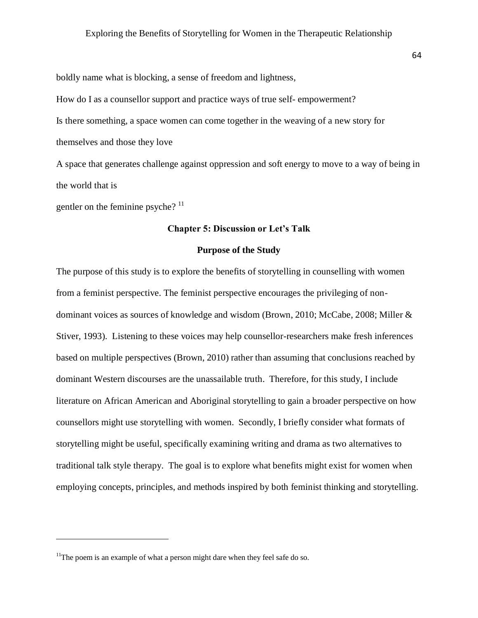boldly name what is blocking, a sense of freedom and lightness,

How do I as a counsellor support and practice ways of true self- empowerment?

Is there something, a space women can come together in the weaving of a new story for themselves and those they love

A space that generates challenge against oppression and soft energy to move to a way of being in the world that is

gentler on the feminine psyche?<sup>11</sup>

 $\overline{\phantom{a}}$ 

## **Chapter 5: Discussion or Let's Talk**

## **Purpose of the Study**

The purpose of this study is to explore the benefits of storytelling in counselling with women from a feminist perspective. The feminist perspective encourages the privileging of nondominant voices as sources of knowledge and wisdom (Brown, 2010; McCabe, 2008; Miller & Stiver, 1993). Listening to these voices may help counsellor-researchers make fresh inferences based on multiple perspectives (Brown, 2010) rather than assuming that conclusions reached by dominant Western discourses are the unassailable truth. Therefore, for this study, I include literature on African American and Aboriginal storytelling to gain a broader perspective on how counsellors might use storytelling with women. Secondly, I briefly consider what formats of storytelling might be useful, specifically examining writing and drama as two alternatives to traditional talk style therapy. The goal is to explore what benefits might exist for women when employing concepts, principles, and methods inspired by both feminist thinking and storytelling.

<sup>&</sup>lt;sup>11</sup>The poem is an example of what a person might dare when they feel safe do so.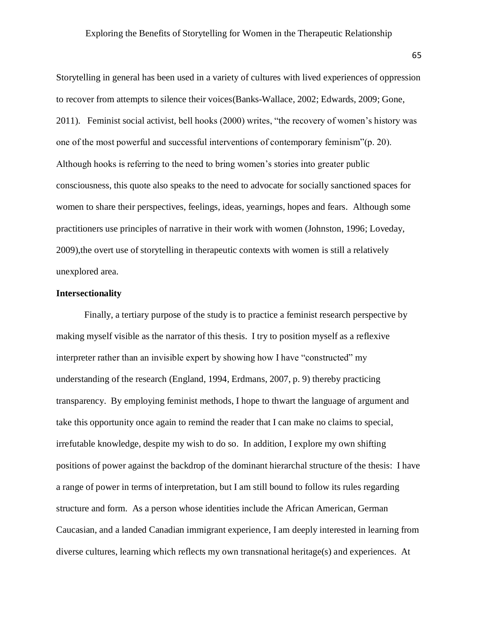#### Exploring the Benefits of Storytelling for Women in the Therapeutic Relationship

Storytelling in general has been used in a variety of cultures with lived experiences of oppression to recover from attempts to silence their voices(Banks-Wallace, 2002; Edwards, 2009; Gone, 2011). Feminist social activist, bell hooks (2000) writes, "the recovery of women's history was one of the most powerful and successful interventions of contemporary feminism"(p. 20). Although hooks is referring to the need to bring women's stories into greater public consciousness, this quote also speaks to the need to advocate for socially sanctioned spaces for women to share their perspectives, feelings, ideas, yearnings, hopes and fears. Although some practitioners use principles of narrative in their work with women (Johnston, 1996; Loveday, 2009),the overt use of storytelling in therapeutic contexts with women is still a relatively unexplored area.

## **Intersectionality**

Finally, a tertiary purpose of the study is to practice a feminist research perspective by making myself visible as the narrator of this thesis. I try to position myself as a reflexive interpreter rather than an invisible expert by showing how I have "constructed" my understanding of the research (England, 1994, Erdmans, 2007, p. 9) thereby practicing transparency. By employing feminist methods, I hope to thwart the language of argument and take this opportunity once again to remind the reader that I can make no claims to special, irrefutable knowledge, despite my wish to do so. In addition, I explore my own shifting positions of power against the backdrop of the dominant hierarchal structure of the thesis: I have a range of power in terms of interpretation, but I am still bound to follow its rules regarding structure and form. As a person whose identities include the African American, German Caucasian, and a landed Canadian immigrant experience, I am deeply interested in learning from diverse cultures, learning which reflects my own transnational heritage(s) and experiences. At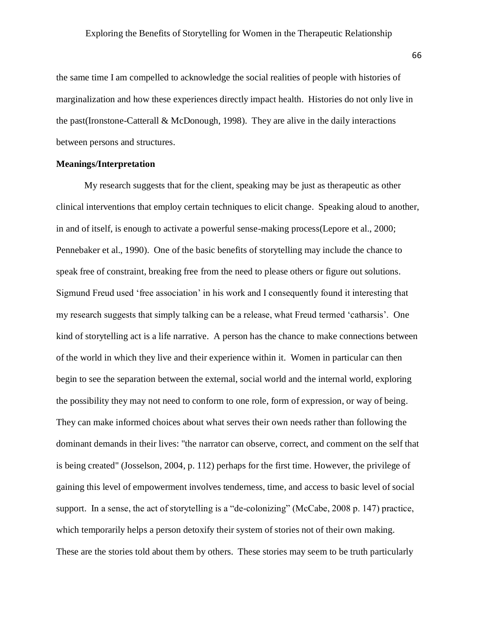the same time I am compelled to acknowledge the social realities of people with histories of marginalization and how these experiences directly impact health. Histories do not only live in the past(Ironstone-Catterall & McDonough, 1998). They are alive in the daily interactions between persons and structures.

## **Meanings/Interpretation**

My research suggests that for the client, speaking may be just as therapeutic as other clinical interventions that employ certain techniques to elicit change. Speaking aloud to another, in and of itself, is enough to activate a powerful sense-making process(Lepore et al., 2000; Pennebaker et al., 1990). One of the basic benefits of storytelling may include the chance to speak free of constraint, breaking free from the need to please others or figure out solutions. Sigmund Freud used 'free association' in his work and I consequently found it interesting that my research suggests that simply talking can be a release, what Freud termed 'catharsis'. One kind of storytelling act is a life narrative. A person has the chance to make connections between of the world in which they live and their experience within it. Women in particular can then begin to see the separation between the external, social world and the internal world, exploring the possibility they may not need to conform to one role, form of expression, or way of being. They can make informed choices about what serves their own needs rather than following the dominant demands in their lives: "the narrator can observe, correct, and comment on the self that is being created" (Josselson, 2004, p. 112) perhaps for the first time. However, the privilege of gaining this level of empowerment involves tenderness, time, and access to basic level of social support. In a sense, the act of storytelling is a "de-colonizing" (McCabe, 2008 p. 147) practice, which temporarily helps a person detoxify their system of stories not of their own making. These are the stories told about them by others. These stories may seem to be truth particularly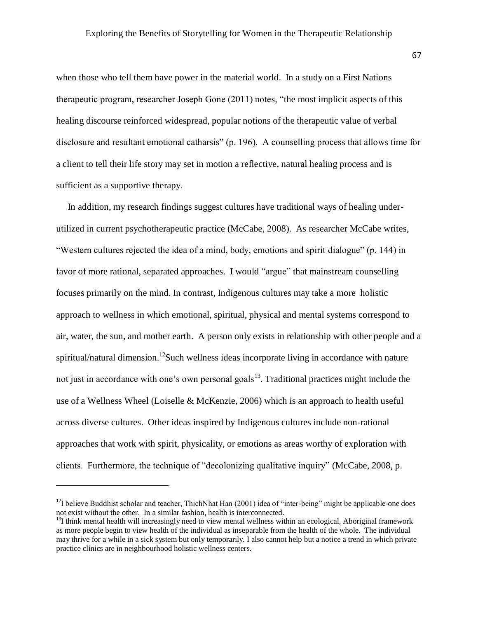when those who tell them have power in the material world. In a study on a First Nations therapeutic program, researcher Joseph Gone (2011) notes, "the most implicit aspects of this healing discourse reinforced widespread, popular notions of the therapeutic value of verbal disclosure and resultant emotional catharsis" (p. 196). A counselling process that allows time for a client to tell their life story may set in motion a reflective, natural healing process and is sufficient as a supportive therapy.

 In addition, my research findings suggest cultures have traditional ways of healing underutilized in current psychotherapeutic practice (McCabe, 2008). As researcher McCabe writes, "Western cultures rejected the idea of a mind, body, emotions and spirit dialogue" (p. 144) in favor of more rational, separated approaches. I would "argue" that mainstream counselling focuses primarily on the mind. In contrast, Indigenous cultures may take a more holistic approach to wellness in which emotional, spiritual, physical and mental systems correspond to air, water, the sun, and mother earth. A person only exists in relationship with other people and a spiritual/natural dimension.<sup>12</sup>Such wellness ideas incorporate living in accordance with nature not just in accordance with one's own personal goals $^{13}$ . Traditional practices might include the use of a Wellness Wheel (Loiselle & McKenzie, 2006) which is an approach to health useful across diverse cultures. Other ideas inspired by Indigenous cultures include non-rational approaches that work with spirit, physicality, or emotions as areas worthy of exploration with clients. Furthermore, the technique of "decolonizing qualitative inquiry" (McCabe, 2008, p.

 $\overline{a}$ 

 $^{12}$ I believe Buddhist scholar and teacher, ThichNhat Han (2001) idea of "inter-being" might be applicable-one does not exist without the other. In a similar fashion, health is interconnected.

 $13$ I think mental health will increasingly need to view mental wellness within an ecological, Aboriginal framework as more people begin to view health of the individual as inseparable from the health of the whole. The individual may thrive for a while in a sick system but only temporarily. I also cannot help but a notice a trend in which private practice clinics are in neighbourhood holistic wellness centers.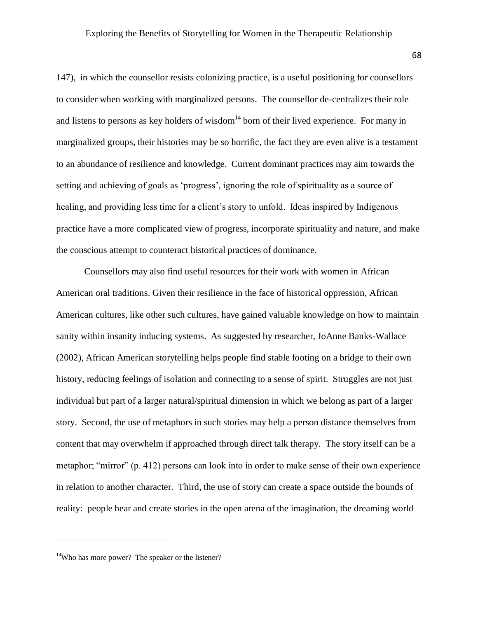147), in which the counsellor resists colonizing practice, is a useful positioning for counsellors to consider when working with marginalized persons. The counsellor de-centralizes their role and listens to persons as key holders of wisdom<sup>14</sup> born of their lived experience. For many in marginalized groups, their histories may be so horrific, the fact they are even alive is a testament to an abundance of resilience and knowledge. Current dominant practices may aim towards the setting and achieving of goals as 'progress', ignoring the role of spirituality as a source of healing, and providing less time for a client's story to unfold. Ideas inspired by Indigenous practice have a more complicated view of progress, incorporate spirituality and nature, and make the conscious attempt to counteract historical practices of dominance.

Counsellors may also find useful resources for their work with women in African American oral traditions. Given their resilience in the face of historical oppression, African American cultures, like other such cultures, have gained valuable knowledge on how to maintain sanity within insanity inducing systems. As suggested by researcher, JoAnne Banks-Wallace (2002), African American storytelling helps people find stable footing on a bridge to their own history, reducing feelings of isolation and connecting to a sense of spirit. Struggles are not just individual but part of a larger natural/spiritual dimension in which we belong as part of a larger story. Second, the use of metaphors in such stories may help a person distance themselves from content that may overwhelm if approached through direct talk therapy. The story itself can be a metaphor; "mirror" (p. 412) persons can look into in order to make sense of their own experience in relation to another character. Third, the use of story can create a space outside the bounds of reality: people hear and create stories in the open arena of the imagination, the dreaming world

 $\overline{\phantom{a}}$ 

<sup>&</sup>lt;sup>14</sup>Who has more power? The speaker or the listener?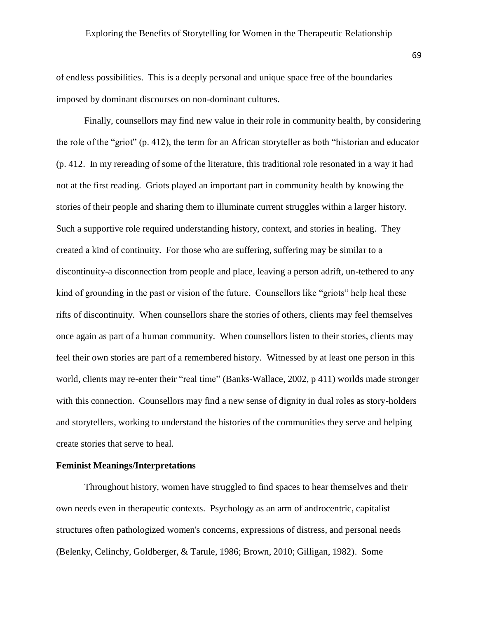of endless possibilities. This is a deeply personal and unique space free of the boundaries imposed by dominant discourses on non-dominant cultures.

Finally, counsellors may find new value in their role in community health, by considering the role of the "griot" (p. 412), the term for an African storyteller as both "historian and educator (p. 412. In my rereading of some of the literature, this traditional role resonated in a way it had not at the first reading. Griots played an important part in community health by knowing the stories of their people and sharing them to illuminate current struggles within a larger history. Such a supportive role required understanding history, context, and stories in healing. They created a kind of continuity. For those who are suffering, suffering may be similar to a discontinuity-a disconnection from people and place, leaving a person adrift, un-tethered to any kind of grounding in the past or vision of the future. Counsellors like "griots" help heal these rifts of discontinuity. When counsellors share the stories of others, clients may feel themselves once again as part of a human community. When counsellors listen to their stories, clients may feel their own stories are part of a remembered history. Witnessed by at least one person in this world, clients may re-enter their "real time" (Banks-Wallace, 2002, p 411) worlds made stronger with this connection. Counsellors may find a new sense of dignity in dual roles as story-holders and storytellers, working to understand the histories of the communities they serve and helping create stories that serve to heal.

## **Feminist Meanings/Interpretations**

Throughout history, women have struggled to find spaces to hear themselves and their own needs even in therapeutic contexts. Psychology as an arm of androcentric, capitalist structures often pathologized women's concerns, expressions of distress, and personal needs (Belenky, Celinchy, Goldberger, & Tarule, 1986; Brown, 2010; Gilligan, 1982). Some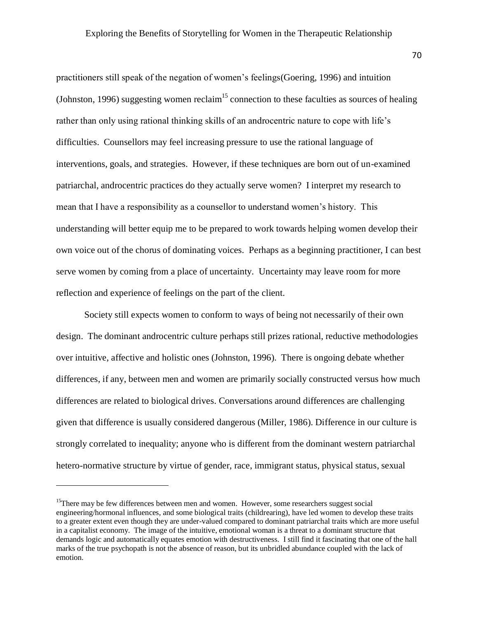practitioners still speak of the negation of women's feelings(Goering, 1996) and intuition (Johnston, 1996) suggesting women reclaim<sup>15</sup> connection to these faculties as sources of healing rather than only using rational thinking skills of an androcentric nature to cope with life's difficulties. Counsellors may feel increasing pressure to use the rational language of interventions, goals, and strategies. However, if these techniques are born out of un-examined patriarchal, androcentric practices do they actually serve women? I interpret my research to mean that I have a responsibility as a counsellor to understand women's history. This understanding will better equip me to be prepared to work towards helping women develop their own voice out of the chorus of dominating voices. Perhaps as a beginning practitioner, I can best serve women by coming from a place of uncertainty. Uncertainty may leave room for more reflection and experience of feelings on the part of the client.

Society still expects women to conform to ways of being not necessarily of their own design. The dominant androcentric culture perhaps still prizes rational, reductive methodologies over intuitive, affective and holistic ones (Johnston, 1996). There is ongoing debate whether differences, if any, between men and women are primarily socially constructed versus how much differences are related to biological drives. Conversations around differences are challenging given that difference is usually considered dangerous (Miller, 1986). Difference in our culture is strongly correlated to inequality; anyone who is different from the dominant western patriarchal hetero-normative structure by virtue of gender, race, immigrant status, physical status, sexual

 $\overline{a}$ 

<sup>&</sup>lt;sup>15</sup>There may be few differences between men and women. However, some researchers suggest social engineering/hormonal influences, and some biological traits (childrearing), have led women to develop these traits to a greater extent even though they are under-valued compared to dominant patriarchal traits which are more useful in a capitalist economy. The image of the intuitive, emotional woman is a threat to a dominant structure that demands logic and automatically equates emotion with destructiveness. I still find it fascinating that one of the hall marks of the true psychopath is not the absence of reason, but its unbridled abundance coupled with the lack of emotion.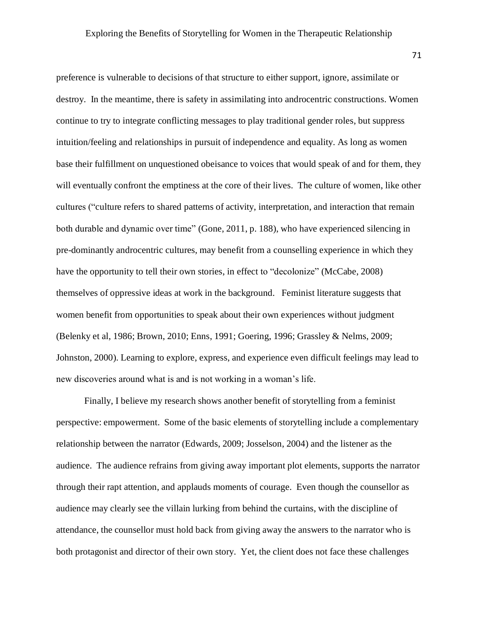preference is vulnerable to decisions of that structure to either support, ignore, assimilate or destroy. In the meantime, there is safety in assimilating into androcentric constructions. Women continue to try to integrate conflicting messages to play traditional gender roles, but suppress intuition/feeling and relationships in pursuit of independence and equality. As long as women base their fulfillment on unquestioned obeisance to voices that would speak of and for them, they will eventually confront the emptiness at the core of their lives. The culture of women, like other cultures ("culture refers to shared patterns of activity, interpretation, and interaction that remain both durable and dynamic over time" (Gone, 2011, p. 188), who have experienced silencing in pre-dominantly androcentric cultures, may benefit from a counselling experience in which they have the opportunity to tell their own stories, in effect to "decolonize" (McCabe, 2008) themselves of oppressive ideas at work in the background. Feminist literature suggests that women benefit from opportunities to speak about their own experiences without judgment (Belenky et al, 1986; Brown, 2010; Enns, 1991; Goering, 1996; Grassley & Nelms, 2009; Johnston, 2000). Learning to explore, express, and experience even difficult feelings may lead to new discoveries around what is and is not working in a woman's life.

Finally, I believe my research shows another benefit of storytelling from a feminist perspective: empowerment. Some of the basic elements of storytelling include a complementary relationship between the narrator (Edwards, 2009; Josselson, 2004) and the listener as the audience. The audience refrains from giving away important plot elements, supports the narrator through their rapt attention, and applauds moments of courage. Even though the counsellor as audience may clearly see the villain lurking from behind the curtains, with the discipline of attendance, the counsellor must hold back from giving away the answers to the narrator who is both protagonist and director of their own story. Yet, the client does not face these challenges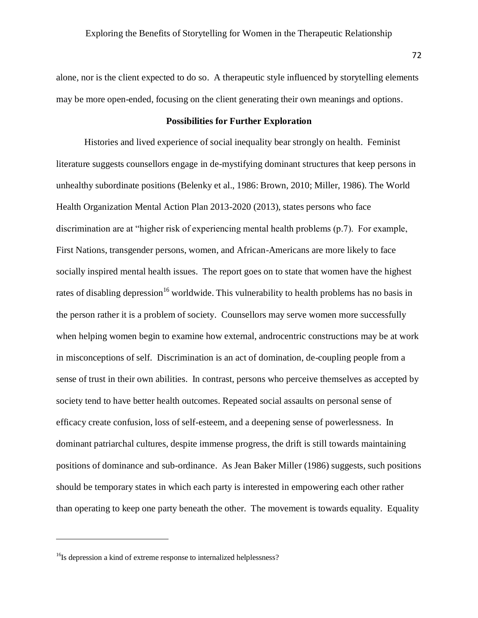alone, nor is the client expected to do so. A therapeutic style influenced by storytelling elements may be more open-ended, focusing on the client generating their own meanings and options.

## **Possibilities for Further Exploration**

Histories and lived experience of social inequality bear strongly on health. Feminist literature suggests counsellors engage in de-mystifying dominant structures that keep persons in unhealthy subordinate positions (Belenky et al., 1986: Brown, 2010; Miller, 1986). The World Health Organization Mental Action Plan 2013-2020 (2013), states persons who face discrimination are at "higher risk of experiencing mental health problems (p.7). For example, First Nations, transgender persons, women, and African-Americans are more likely to face socially inspired mental health issues. The report goes on to state that women have the highest rates of disabling depression<sup>16</sup> worldwide. This vulnerability to health problems has no basis in the person rather it is a problem of society. Counsellors may serve women more successfully when helping women begin to examine how external, androcentric constructions may be at work in misconceptions of self. Discrimination is an act of domination, de-coupling people from a sense of trust in their own abilities. In contrast, persons who perceive themselves as accepted by society tend to have better health outcomes. Repeated social assaults on personal sense of efficacy create confusion, loss of self-esteem, and a deepening sense of powerlessness. In dominant patriarchal cultures, despite immense progress, the drift is still towards maintaining positions of dominance and sub-ordinance. As Jean Baker Miller (1986) suggests, such positions should be temporary states in which each party is interested in empowering each other rather than operating to keep one party beneath the other. The movement is towards equality. Equality

 $\overline{\phantom{a}}$ 

<sup>&</sup>lt;sup>16</sup>Is depression a kind of extreme response to internalized helplessness?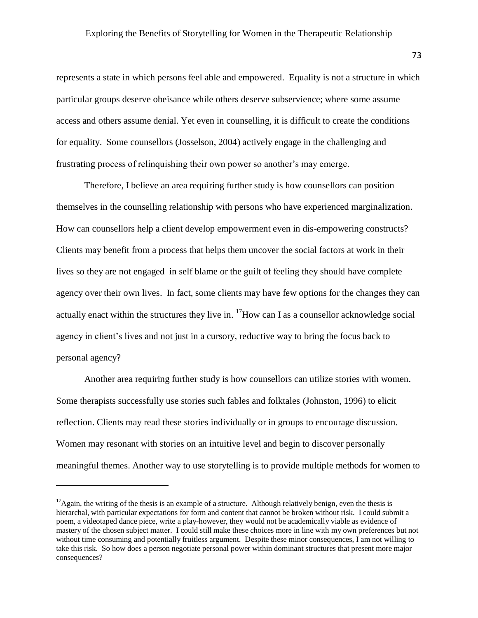#### Exploring the Benefits of Storytelling for Women in the Therapeutic Relationship

represents a state in which persons feel able and empowered. Equality is not a structure in which particular groups deserve obeisance while others deserve subservience; where some assume access and others assume denial. Yet even in counselling, it is difficult to create the conditions for equality. Some counsellors (Josselson, 2004) actively engage in the challenging and frustrating process of relinquishing their own power so another's may emerge.

Therefore, I believe an area requiring further study is how counsellors can position themselves in the counselling relationship with persons who have experienced marginalization. How can counsellors help a client develop empowerment even in dis-empowering constructs? Clients may benefit from a process that helps them uncover the social factors at work in their lives so they are not engaged in self blame or the guilt of feeling they should have complete agency over their own lives. In fact, some clients may have few options for the changes they can actually enact within the structures they live in.  $^{17}$ How can I as a counsellor acknowledge social agency in client's lives and not just in a cursory, reductive way to bring the focus back to personal agency?

Another area requiring further study is how counsellors can utilize stories with women. Some therapists successfully use stories such fables and folktales (Johnston, 1996) to elicit reflection. Clients may read these stories individually or in groups to encourage discussion. Women may resonant with stories on an intuitive level and begin to discover personally meaningful themes. Another way to use storytelling is to provide multiple methods for women to

 $\overline{a}$ 

<sup>&</sup>lt;sup>17</sup>Again, the writing of the thesis is an example of a structure. Although relatively benign, even the thesis is hierarchal, with particular expectations for form and content that cannot be broken without risk. I could submit a poem, a videotaped dance piece, write a play-however, they would not be academically viable as evidence of mastery of the chosen subject matter. I could still make these choices more in line with my own preferences but not without time consuming and potentially fruitless argument. Despite these minor consequences, I am not willing to take this risk. So how does a person negotiate personal power within dominant structures that present more major consequences?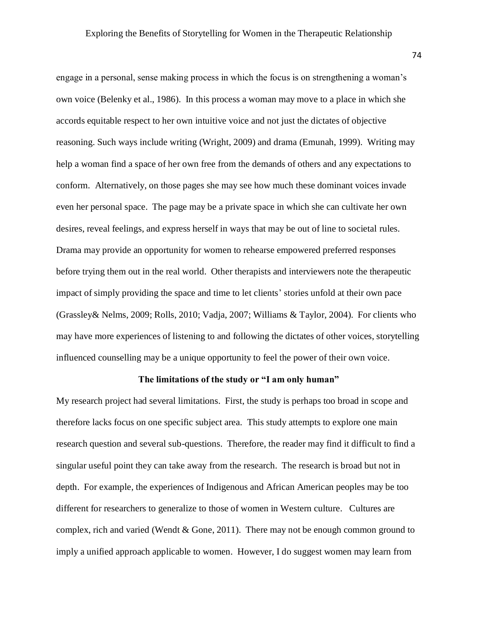engage in a personal, sense making process in which the focus is on strengthening a woman's own voice (Belenky et al., 1986). In this process a woman may move to a place in which she accords equitable respect to her own intuitive voice and not just the dictates of objective reasoning. Such ways include writing (Wright, 2009) and drama (Emunah, 1999). Writing may help a woman find a space of her own free from the demands of others and any expectations to conform. Alternatively, on those pages she may see how much these dominant voices invade even her personal space. The page may be a private space in which she can cultivate her own desires, reveal feelings, and express herself in ways that may be out of line to societal rules. Drama may provide an opportunity for women to rehearse empowered preferred responses before trying them out in the real world. Other therapists and interviewers note the therapeutic impact of simply providing the space and time to let clients' stories unfold at their own pace (Grassley& Nelms, 2009; Rolls, 2010; Vadja, 2007; Williams & Taylor, 2004). For clients who may have more experiences of listening to and following the dictates of other voices, storytelling influenced counselling may be a unique opportunity to feel the power of their own voice.

# **The limitations of the study or "I am only human"**

My research project had several limitations. First, the study is perhaps too broad in scope and therefore lacks focus on one specific subject area. This study attempts to explore one main research question and several sub-questions. Therefore, the reader may find it difficult to find a singular useful point they can take away from the research. The research is broad but not in depth. For example, the experiences of Indigenous and African American peoples may be too different for researchers to generalize to those of women in Western culture. Cultures are complex, rich and varied (Wendt & Gone, 2011). There may not be enough common ground to imply a unified approach applicable to women. However, I do suggest women may learn from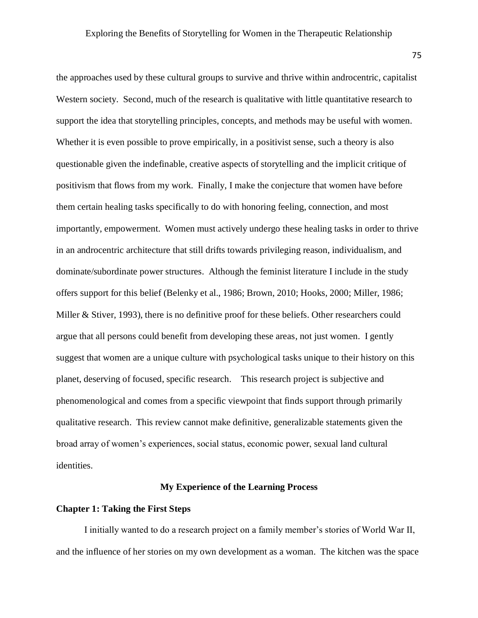the approaches used by these cultural groups to survive and thrive within androcentric, capitalist Western society. Second, much of the research is qualitative with little quantitative research to support the idea that storytelling principles, concepts, and methods may be useful with women. Whether it is even possible to prove empirically, in a positivist sense, such a theory is also questionable given the indefinable, creative aspects of storytelling and the implicit critique of positivism that flows from my work. Finally, I make the conjecture that women have before them certain healing tasks specifically to do with honoring feeling, connection, and most importantly, empowerment. Women must actively undergo these healing tasks in order to thrive in an androcentric architecture that still drifts towards privileging reason, individualism, and dominate/subordinate power structures. Although the feminist literature I include in the study offers support for this belief (Belenky et al., 1986; Brown, 2010; Hooks, 2000; Miller, 1986; Miller & Stiver, 1993), there is no definitive proof for these beliefs. Other researchers could argue that all persons could benefit from developing these areas, not just women. I gently suggest that women are a unique culture with psychological tasks unique to their history on this planet, deserving of focused, specific research. This research project is subjective and phenomenological and comes from a specific viewpoint that finds support through primarily qualitative research. This review cannot make definitive, generalizable statements given the broad array of women's experiences, social status, economic power, sexual land cultural identities.

## **My Experience of the Learning Process**

#### **Chapter 1: Taking the First Steps**

I initially wanted to do a research project on a family member's stories of World War II, and the influence of her stories on my own development as a woman. The kitchen was the space

75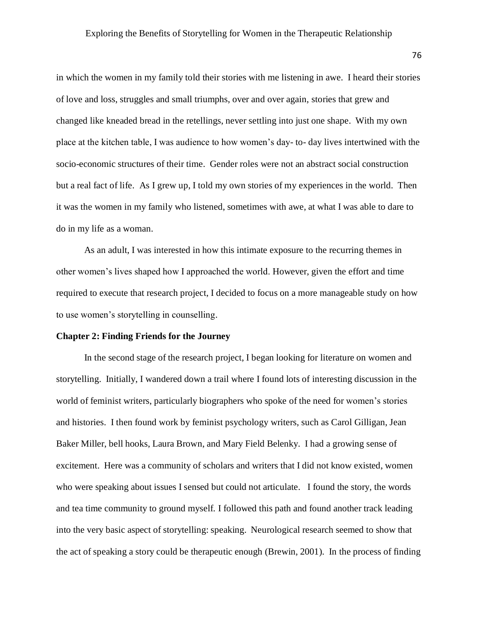in which the women in my family told their stories with me listening in awe. I heard their stories of love and loss, struggles and small triumphs, over and over again, stories that grew and changed like kneaded bread in the retellings, never settling into just one shape. With my own place at the kitchen table, I was audience to how women's day- to- day lives intertwined with the socio-economic structures of their time. Gender roles were not an abstract social construction but a real fact of life. As I grew up, I told my own stories of my experiences in the world. Then it was the women in my family who listened, sometimes with awe, at what I was able to dare to do in my life as a woman.

As an adult, I was interested in how this intimate exposure to the recurring themes in other women's lives shaped how I approached the world. However, given the effort and time required to execute that research project, I decided to focus on a more manageable study on how to use women's storytelling in counselling.

### **Chapter 2: Finding Friends for the Journey**

In the second stage of the research project, I began looking for literature on women and storytelling. Initially, I wandered down a trail where I found lots of interesting discussion in the world of feminist writers, particularly biographers who spoke of the need for women's stories and histories. I then found work by feminist psychology writers, such as Carol Gilligan, Jean Baker Miller, bell hooks, Laura Brown, and Mary Field Belenky. I had a growing sense of excitement. Here was a community of scholars and writers that I did not know existed, women who were speaking about issues I sensed but could not articulate. I found the story, the words and tea time community to ground myself. I followed this path and found another track leading into the very basic aspect of storytelling: speaking. Neurological research seemed to show that the act of speaking a story could be therapeutic enough (Brewin, 2001). In the process of finding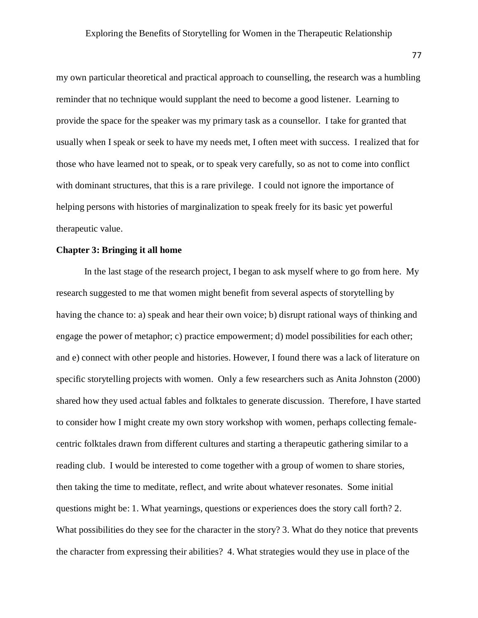my own particular theoretical and practical approach to counselling, the research was a humbling reminder that no technique would supplant the need to become a good listener. Learning to provide the space for the speaker was my primary task as a counsellor. I take for granted that usually when I speak or seek to have my needs met, I often meet with success. I realized that for those who have learned not to speak, or to speak very carefully, so as not to come into conflict with dominant structures, that this is a rare privilege. I could not ignore the importance of helping persons with histories of marginalization to speak freely for its basic yet powerful therapeutic value.

# **Chapter 3: Bringing it all home**

In the last stage of the research project, I began to ask myself where to go from here. My research suggested to me that women might benefit from several aspects of storytelling by having the chance to: a) speak and hear their own voice; b) disrupt rational ways of thinking and engage the power of metaphor; c) practice empowerment; d) model possibilities for each other; and e) connect with other people and histories. However, I found there was a lack of literature on specific storytelling projects with women. Only a few researchers such as Anita Johnston (2000) shared how they used actual fables and folktales to generate discussion. Therefore, I have started to consider how I might create my own story workshop with women, perhaps collecting femalecentric folktales drawn from different cultures and starting a therapeutic gathering similar to a reading club. I would be interested to come together with a group of women to share stories, then taking the time to meditate, reflect, and write about whatever resonates. Some initial questions might be: 1. What yearnings, questions or experiences does the story call forth? 2. What possibilities do they see for the character in the story? 3. What do they notice that prevents the character from expressing their abilities? 4. What strategies would they use in place of the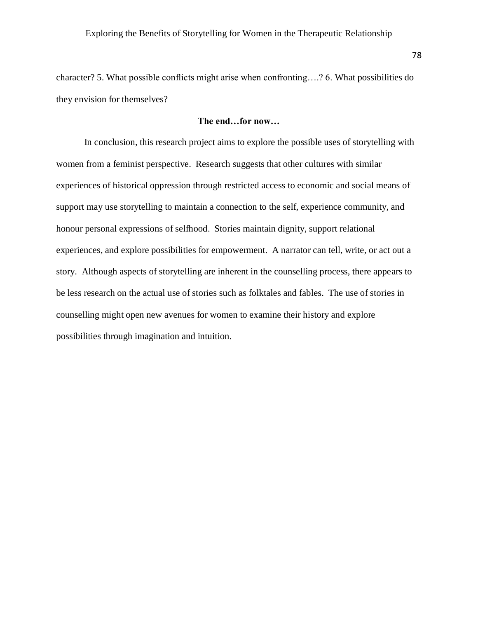character? 5. What possible conflicts might arise when confronting….? 6. What possibilities do they envision for themselves?

# **The end…for now…**

In conclusion, this research project aims to explore the possible uses of storytelling with women from a feminist perspective. Research suggests that other cultures with similar experiences of historical oppression through restricted access to economic and social means of support may use storytelling to maintain a connection to the self, experience community, and honour personal expressions of selfhood. Stories maintain dignity, support relational experiences, and explore possibilities for empowerment. A narrator can tell, write, or act out a story. Although aspects of storytelling are inherent in the counselling process, there appears to be less research on the actual use of stories such as folktales and fables. The use of stories in counselling might open new avenues for women to examine their history and explore possibilities through imagination and intuition.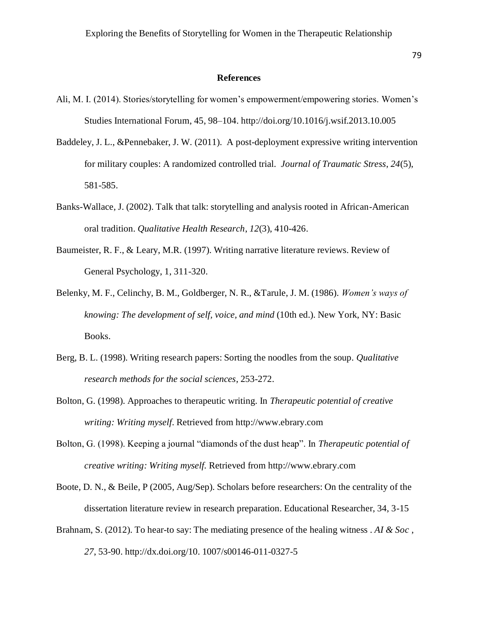#### **References**

- Ali, M. I. (2014). Stories/storytelling for women's empowerment/empowering stories. Women's Studies International Forum, 45, 98–104. http://doi.org/10.1016/j.wsif.2013.10.005
- Baddeley, J. L., &Pennebaker, J. W. (2011). A post-deployment expressive writing intervention for military couples: A randomized controlled trial. *Journal of Traumatic Stress*, *24*(5), 581-585.
- Banks-Wallace, J. (2002). Talk that talk: storytelling and analysis rooted in African-American oral tradition. *Qualitative Health Research*, *12*(3), 410-426.
- Baumeister, R. F., & Leary, M.R. (1997). Writing narrative literature reviews. Review of General Psychology, 1, 311-320.
- Belenky, M. F., Celinchy, B. M., Goldberger, N. R., &Tarule, J. M. (1986). *Women's ways of knowing: The development of self, voice, and mind* (10th ed.). New York, NY: Basic Books.
- Berg, B. L. (1998). Writing research papers: Sorting the noodles from the soup. *Qualitative research methods for the social sciences*, 253-272.
- Bolton, G. (1998). Approaches to therapeutic writing. In *Therapeutic potential of creative writing: Writing myself*. Retrieved from http://www.ebrary.com
- Bolton, G. (1998). Keeping a journal "diamonds of the dust heap". In *Therapeutic potential of creative writing: Writing myself.* Retrieved from http://www.ebrary.com
- Boote, D. N., & Beile, P (2005, Aug/Sep). Scholars before researchers: On the centrality of the dissertation literature review in research preparation. Educational Researcher, 34, 3-15
- Brahnam, S. (2012). To hear-to say: The mediating presence of the healing witness . *AI & Soc* , *27*, 53-90. http://dx.doi.org/10. 1007/s00146-011-0327-5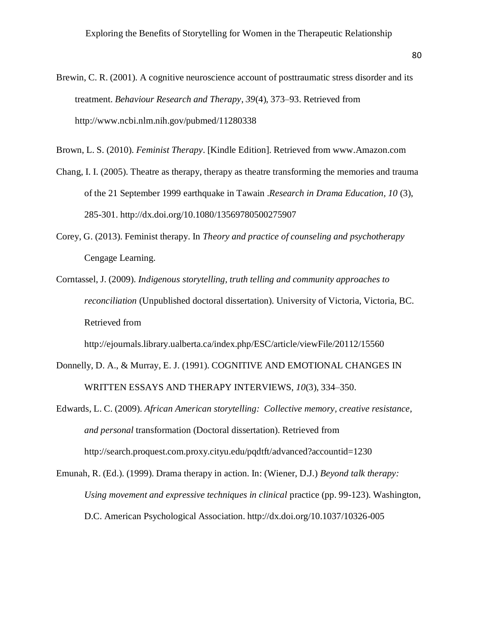Brewin, C. R. (2001). A cognitive neuroscience account of posttraumatic stress disorder and its treatment. *Behaviour Research and Therapy*, *39*(4), 373–93. Retrieved from http://www.ncbi.nlm.nih.gov/pubmed/11280338

Brown, L. S. (2010). *Feminist Therapy*. [Kindle Edition]. Retrieved from www.Amazon.com

- Chang, I. I. (2005). Theatre as therapy, therapy as theatre transforming the memories and trauma of the 21 September 1999 earthquake in Tawain .*Research in Drama Education, 10* (3), 285-301. http://dx.doi.org/10.1080/13569780500275907
- Corey, G. (2013). Feminist therapy. In *Theory and practice of counseling and psychotherapy*  Cengage Learning.
- Corntassel, J. (2009). *Indigenous storytelling, truth telling and community approaches to reconciliation* (Unpublished doctoral dissertation). University of Victoria, Victoria, BC. Retrieved from

http://ejournals.library.ualberta.ca/index.php/ESC/article/viewFile/20112/15560

- Donnelly, D. A., & Murray, E. J. (1991). COGNITIVE AND EMOTIONAL CHANGES IN WRITTEN ESSAYS AND THERAPY INTERVIEWS, *10*(3), 334–350.
- Edwards, L. C. (2009). *African American storytelling: Collective memory, creative resistance, and personal* transformation (Doctoral dissertation). Retrieved from http://search.proquest.com.proxy.cityu.edu/pqdtft/advanced?accountid=1230

Emunah, R. (Ed.). (1999). Drama therapy in action. In: (Wiener, D.J.) *Beyond talk therapy: Using movement and expressive techniques in clinical practice (pp. 99-123).* Washington, D.C. American Psychological Association. http://dx.doi.org/10.1037/10326-005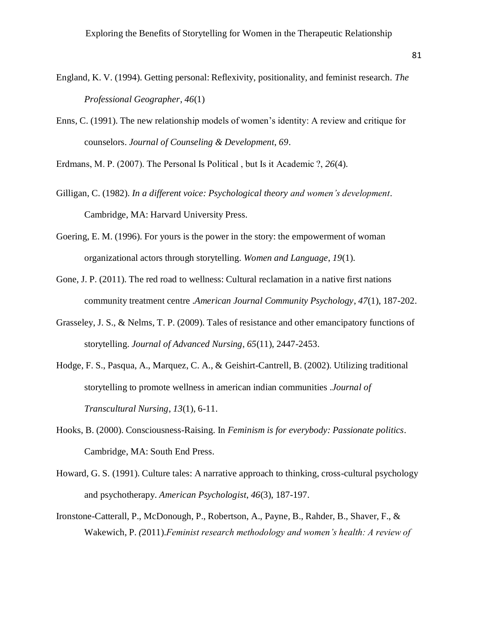- England, K. V. (1994). Getting personal: Reflexivity, positionality, and feminist research. *The Professional Geographer*, *46*(1)
- Enns, C. (1991). The new relationship models of women's identity: A review and critique for counselors. *Journal of Counseling & Development*, *69*.

Erdmans, M. P. (2007). The Personal Is Political , but Is it Academic ?, *26*(4).

- Gilligan, C. (1982). *In a different voice: Psychological theory and women's development*. Cambridge, MA: Harvard University Press.
- Goering, E. M. (1996). For yours is the power in the story: the empowerment of woman organizational actors through storytelling. *Women and Language*, *19*(1).
- Gone, J. P. (2011). The red road to wellness: Cultural reclamation in a native first nations community treatment centre .*American Journal Community Psychology*, *47*(1), 187-202.
- Grasseley, J. S., & Nelms, T. P. (2009). Tales of resistance and other emancipatory functions of storytelling. *Journal of Advanced Nursing*, *65*(11), 2447-2453.
- Hodge, F. S., Pasqua, A., Marquez, C. A., & Geishirt-Cantrell, B. (2002). Utilizing traditional storytelling to promote wellness in american indian communities .*Journal of Transcultural Nursing*, *13*(1), 6-11.
- Hooks, B. (2000). Consciousness-Raising. In *Feminism is for everybody: Passionate politics*. Cambridge, MA: South End Press.
- Howard, G. S. (1991). Culture tales: A narrative approach to thinking, cross-cultural psychology and psychotherapy. *American Psychologist*, *46*(3), 187-197.
- Ironstone-Catterall, P., McDonough, P., Robertson, A., Payne, B., Rahder, B., Shaver, F., & Wakewich, P. *(*2011).*Feminist research methodology and women's health: A review of*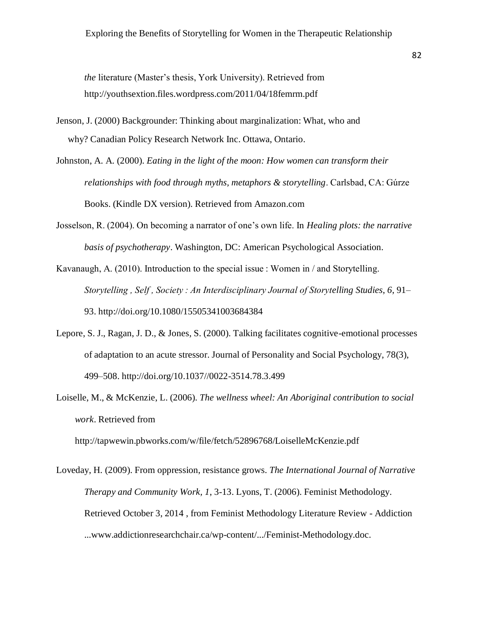*the* literature (Master's thesis, York University). Retrieved from http://youthsextion.files.wordpress.com/2011/04/18femrm.pdf

- Jenson, J. (2000) Backgrounder: Thinking about marginalization: What, who and why? Canadian Policy Research Network Inc. Ottawa, Ontario.
- Johnston, A. A. (2000). *Eating in the light of the moon: How women can transform their relationships with food through myths, metaphors & storytelling. Carlsbad, CA: Gúrze* Books. (Kindle DX version). Retrieved from Amazon.com
- Josselson, R. (2004). On becoming a narrator of one's own life. In *Healing plots: the narrative basis of psychotherapy*. Washington, DC: American Psychological Association.

Kavanaugh, A. (2010). Introduction to the special issue : Women in / and Storytelling. *Storytelling , Self , Society : An Interdisciplinary Journal of Storytelling Studies*, *6*, 91– 93. http://doi.org/10.1080/15505341003684384

- Lepore, S. J., Ragan, J. D., & Jones, S. (2000). Talking facilitates cognitive-emotional processes of adaptation to an acute stressor. Journal of Personality and Social Psychology, 78(3), 499–508. http://doi.org/10.1037//0022-3514.78.3.499
- Loiselle, M., & McKenzie, L. (2006). *The wellness wheel: An Aboriginal contribution to social work*. Retrieved from

http://tapwewin.pbworks.com/w/file/fetch/52896768/LoiselleMcKenzie.pdf

Loveday, H. (2009). From oppression, resistance grows. *The International Journal of Narrative Therapy and Community Work, 1*, 3-13. Lyons, T. (2006). Feminist Methodology. Retrieved October 3, 2014 , from Feminist Methodology Literature Review - Addiction ...www.addictionresearchchair.ca/wp-content/.../Feminist-Methodology.doc.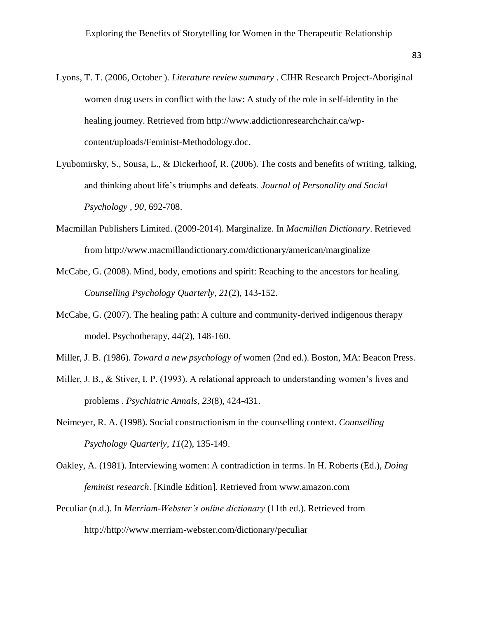- Lyons, T. T. (2006, October ). *Literature review summary* . CIHR Research Project-Aboriginal women drug users in conflict with the law: A study of the role in self-identity in the healing journey. Retrieved from http://www.addictionresearchchair.ca/wpcontent/uploads/Feminist-Methodology.doc.
- Lyubomirsky, S., Sousa, L., & Dickerhoof, R. (2006). The costs and benefits of writing, talking, and thinking about life's triumphs and defeats. *Journal of Personality and Social Psychology* , *90*, 692-708.
- Macmillan Publishers Limited. (2009-2014). Marginalize. In *Macmillan Dictionary*. Retrieved from http://www.macmillandictionary.com/dictionary/american/marginalize
- McCabe, G. (2008). Mind, body, emotions and spirit: Reaching to the ancestors for healing. *Counselling Psychology Quarterly*, *21*(2), 143-152.
- McCabe, G. (2007). The healing path: A culture and community-derived indigenous therapy model. Psychotherapy, 44(2), 148-160.
- Miller, J. B. *(*1986). *Toward a new psychology of* women (2nd ed.). Boston, MA: Beacon Press.
- Miller, J. B., & Stiver, I. P. (1993). A relational approach to understanding women's lives and problems . *Psychiatric Annals*, *23*(8), 424-431.
- Neimeyer, R. A. (1998). Social constructionism in the counselling context. *Counselling Psychology Quarterly*, *11*(2), 135-149.
- Oakley, A. (1981). Interviewing women: A contradiction in terms. In H. Roberts (Ed.), *Doing feminist research*. [Kindle Edition]. Retrieved from www.amazon.com
- Peculiar (n.d.). In *Merriam-Webster's online dictionary* (11th ed.). Retrieved from http://http://www.merriam-webster.com/dictionary/peculiar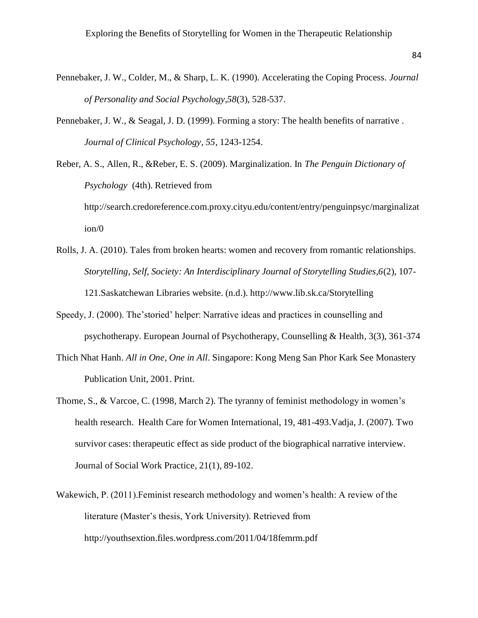- Pennebaker, J. W., Colder, M., & Sharp, L. K. (1990). Accelerating the Coping Process. *Journal of Personality and Social Psychology*,*58*(3), 528-537.
- Pennebaker, J. W., & Seagal, J. D. (1999). Forming a story: The health benefits of narrative . *Journal of Clinical Psychology*, *55*, 1243-1254.

Reber, A. S., Allen, R., &Reber, E. S. (2009). Marginalization. In *The Penguin Dictionary of Psychology* (4th). Retrieved from http://search.credoreference.com.proxy.cityu.edu/content/entry/penguinpsyc/marginalizat ion/0

- Rolls, J. A. (2010). Tales from broken hearts: women and recovery from romantic relationships. *Storytelling, Self, Society: An Interdisciplinary Journal of Storytelling Studies,6*(2), 107- 121.Saskatchewan Libraries website. (n.d.). http://www.lib.sk.ca/Storytelling
- Speedy, J. (2000). The'storied' helper: Narrative ideas and practices in counselling and psychotherapy. European Journal of Psychotherapy, Counselling & Health, 3(3), 361-374
- Thich Nhat Hanh. *All in One, One in All*. Singapore: Kong Meng San Phor Kark See Monastery Publication Unit, 2001. Print.
- Thorne, S., & Varcoe, C. (1998, March 2). The tyranny of feminist methodology in women's health research. Health Care for Women International, 19, 481-493.Vadja, J. (2007). Two survivor cases: therapeutic effect as side product of the biographical narrative interview. Journal of Social Work Practice, 21(1), 89-102.
- Wakewich, P. (2011).Feminist research methodology and women's health: A review of the literature (Master's thesis, York University). Retrieved from http://youthsextion.files.wordpress.com/2011/04/18femrm.pdf